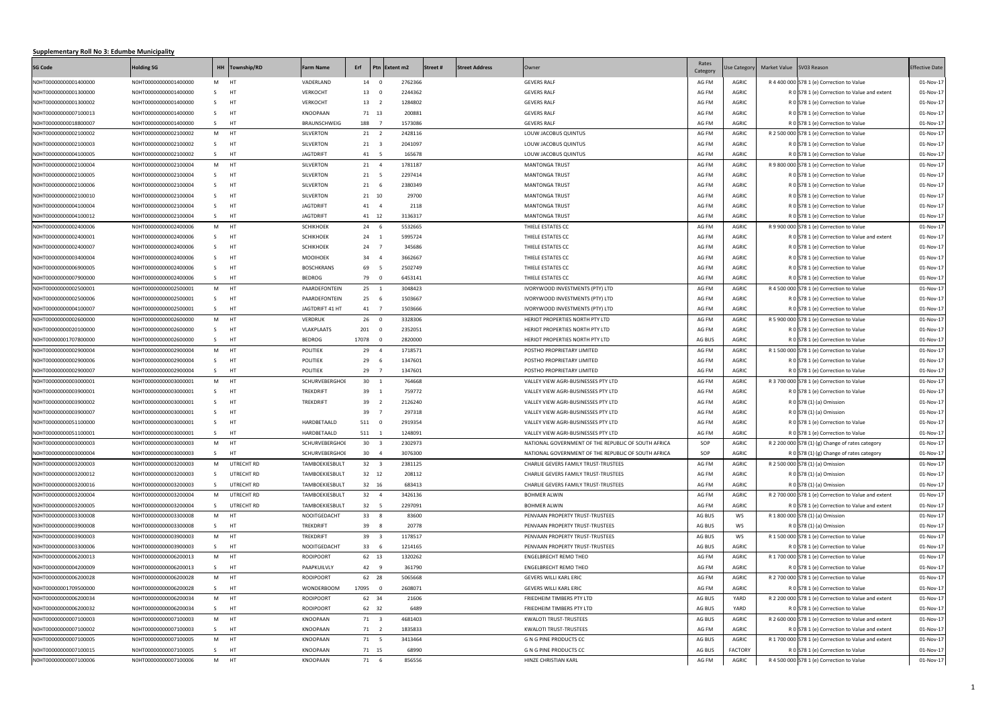## **Supplementary Roll No 3: Edumbe Municipality**

| <b>SG Code</b>        | <b>Holding SG</b>     |                | HH Township/RD | Farm Name         | Erf     |                | Ptn Extent m2 | Street # | <b>Street Address</b> | Owner                                               | Rates<br>Category | <b>Jse Category</b> | Market Value SV03 Reason                             | <b>Effective Date</b> |
|-----------------------|-----------------------|----------------|----------------|-------------------|---------|----------------|---------------|----------|-----------------------|-----------------------------------------------------|-------------------|---------------------|------------------------------------------------------|-----------------------|
| N0HT00000000001400000 | N0HT00000000001400000 | M HT           |                | VADERLAND         |         | 14 0           | 2762366       |          |                       | <b>GEVERS RALF</b>                                  | AG FM             | AGRIC               | R 4 400 000 S78 1 (e) Correction to Value            | 01-Nov-17             |
| N0HT00000000001300000 | N0HT00000000001400000 | S —            | HT             | <b>VERKOCHT</b>   |         | 13 0           | 2244362       |          |                       | <b>GEVERS RALF</b>                                  | AG FM             | <b>AGRIC</b>        | R 0 S78 1 (e) Correction to Value and extent         | 01-Nov-17             |
| N0HT00000000001300002 | N0HT00000000001400000 | S —            | HT             | <b>VERKOCHT</b>   |         | 13 2           | 1284802       |          |                       | <b>GEVERS RALF</b>                                  | AG FM             | <b>AGRIC</b>        | R 0 S78 1 (e) Correction to Value                    | 01-Nov-17             |
| N0HT00000000007100013 | N0HT00000000001400000 | S              | HT             | KNOOPAAN          |         | 71 13          | 200881        |          |                       | <b>GEVERS RALF</b>                                  | AG FM             | <b>AGRIC</b>        | R 0 S78 1 (e) Correction to Value                    | 01-Nov-17             |
| N0HT00000000018800007 | N0HT00000000001400000 | S HT           |                | BRAUNSCHWEIG      |         | 188 7          | 1573086       |          |                       | <b>GEVERS RALF</b>                                  | AG FM             | <b>AGRIC</b>        | R 0 S78 1 (e) Correction to Value                    | 01-Nov-17             |
| N0HT00000000002100002 | N0HT00000000002100002 | M HT           |                | SILVERTON         |         | 21 2           | 2428116       |          |                       | LOUW JACOBUS QUINTUS                                | AG FM             | <b>AGRIC</b>        | R 2 500 000 S78 1 (e) Correction to Value            | 01-Nov-17             |
| N0HT00000000002100003 | N0HT00000000002100002 | S <sub>3</sub> | <b>HT</b>      | SILVERTON         |         | 21 3           | 2041097       |          |                       | LOUW JACOBUS QUINTUS                                | AG FM             | <b>AGRIC</b>        | R 0 S78 1 (e) Correction to Value                    | 01-Nov-17             |
| N0HT00000000004100005 | N0HT00000000002100002 | S HT           |                | <b>JAGTDRIFT</b>  |         | 41 5           | 165678        |          |                       | LOUW JACOBUS QUINTUS                                | AG FM             | <b>AGRIC</b>        | R 0 S78 1 (e) Correction to Value                    | 01-Nov-17             |
| N0HT00000000002100004 | N0HT00000000002100004 | M HT           |                | SILVERTON         |         | 21 4           | 1781187       |          |                       | <b>MANTONGA TRUST</b>                               | AG FM             | <b>AGRIC</b>        | R 9 800 000 S78 1 (e) Correction to Value            | 01-Nov-17             |
| N0HT00000000002100005 | N0HT00000000002100004 | S HT           |                | SILVERTON         |         | 21 5           | 2297414       |          |                       | <b>MANTONGA TRUST</b>                               | AG FM             | <b>AGRIC</b>        | R 0 S78 1 (e) Correction to Value                    | 01-Nov-17             |
| N0HT00000000002100006 | N0HT00000000002100004 | S —            | HT             | SILVERTON         |         | 21 6           | 2380349       |          |                       | <b>MANTONGA TRUST</b>                               | AG FM             | <b>AGRIC</b>        | R 0 S78 1 (e) Correction to Value                    | 01-Nov-17             |
| N0HT00000000002100010 | N0HT00000000002100004 | S —            | HT             | SILVERTON         |         | 21 10          | 29700         |          |                       | <b>MANTONGA TRUST</b>                               | AG FM             | <b>AGRIC</b>        | R 0 S78 1 (e) Correction to Value                    | 01-Nov-17             |
| N0HT00000000004100004 | N0HT00000000002100004 | S —            | HT             | <b>JAGTDRIFT</b>  |         | 41 4           | 2118          |          |                       | <b>MANTONGA TRUST</b>                               | AG FM             | <b>AGRIC</b>        | R 0 S78 1 (e) Correction to Value                    | 01-Nov-17             |
| N0HT00000000004100012 | N0HT00000000002100004 | S HT           |                | <b>JAGTDRIFT</b>  |         | 41 12          | 3136317       |          |                       | <b>MANTONGA TRUST</b>                               | AG FM             | <b>AGRIC</b>        | R 0 S78 1 (e) Correction to Value                    | 01-Nov-17             |
| N0HT00000000002400006 | N0HT00000000002400006 | M HT           |                | <b>SCHIKHOEK</b>  |         | 24 6           | 5532665       |          |                       | THIELE ESTATES CC                                   | AG FM             | <b>AGRIC</b>        | R 9 900 000 S78 1 (e) Correction to Value            | 01-Nov-17             |
| N0HT00000000002400001 | N0HT00000000002400006 | S —            | HT             | <b>SCHIKHOEK</b>  |         | 24 1           | 5995724       |          |                       | THIELE ESTATES CC                                   | AG FM             | <b>AGRIC</b>        | R 0 S78 1 (e) Correction to Value and extent         | 01-Nov-17             |
| N0HT00000000002400007 | NOHT00000000002400006 | S –            | HT             | <b>SCHIKHOEK</b>  |         | 24 7           | 345686        |          |                       | THIELE ESTATES CC                                   | AG FM             | <b>AGRIC</b>        | R 0 S78 1 (e) Correction to Value                    | 01-Nov-17             |
| N0HT00000000003400004 | N0HT00000000002400006 | S —            | HT             | MOOIHOEK          |         | 34 4           | 3662667       |          |                       | THIELE ESTATES CC                                   | AG FM             | AGRIC               | R 0 S78 1 (e) Correction to Value                    | 01-Nov-17             |
| N0HT00000000006900005 | N0HT00000000002400006 | S —            | HT             | <b>BOSCHKRANS</b> | 69      | $-5$           | 2502749       |          |                       | THIELE ESTATES CC                                   | AG FM             | <b>AGRIC</b>        | R 0 S78 1 (e) Correction to Value                    | 01-Nov-17             |
| N0HT00000000007900000 | N0HT00000000002400006 | S HT           |                | <b>BEDROG</b>     |         | 79 0           | 6453141       |          |                       | THIELE ESTATES CC                                   | AG FM             | <b>AGRIC</b>        | R 0 S78 1 (e) Correction to Value                    | 01-Nov-17             |
| N0HT00000000002500001 | N0HT00000000002500001 | M HT           |                | PAARDEFONTEIN     |         | $25 \t 1$      | 3048423       |          |                       | IVORYWOOD INVESTMENTS (PTY) LTD                     | AG FM             | <b>AGRIC</b>        | R 4 500 000 S78 1 (e) Correction to Value            | 01-Nov-17             |
| N0HT00000000002500006 | N0HT00000000002500001 | S —            | HT             | PAARDEFONTEIN     |         | 25 6           | 1503667       |          |                       | IVORYWOOD INVESTMENTS (PTY) LTD                     | AG FM             | <b>AGRIC</b>        | R 0 S78 1 (e) Correction to Value                    | 01-Nov-17             |
| N0HT00000000004100007 | N0HT00000000002500001 | S —            | HT             | JAGTDRIFT 41 HT   |         | 41 7           | 1503666       |          |                       | IVORYWOOD INVESTMENTS (PTY) LTD                     | AG FM             | <b>AGRIC</b>        | R 0 S78 1 (e) Correction to Value                    | 01-Nov-17             |
| N0HT00000000002600000 | N0HT00000000002600000 | M HT           |                | <b>VERDRUK</b>    |         | 26 0           | 3328306       |          |                       | HERIOT PROPERTIES NORTH PTY LTD                     | AG FM             | <b>AGRIC</b>        | R 5 900 000 S78 1 (e) Correction to Value            | 01-Nov-17             |
| N0HT00000000020100000 | N0HT00000000002600000 | S —            | HT             | VLAKPLAATS        |         | 201 0          | 2352051       |          |                       | HERIOT PROPERTIES NORTH PTY LTD                     | AG FM             | <b>AGRIC</b>        | R 0 S78 1 (e) Correction to Value                    | 01-Nov-17             |
| N0HT00000001707800000 | N0HT00000000002600000 | S              | HT             | <b>BEDROG</b>     | 17078 0 |                | 2820000       |          |                       | HERIOT PROPERTIES NORTH PTY LTD                     | AG BUS            | <b>AGRIC</b>        | R 0 S78 1 (e) Correction to Value                    | 01-Nov-17             |
| N0HT00000000002900004 | N0HT00000000002900004 | M HT           |                | POLITIEK          |         | 29 4           | 1718571       |          |                       | POSTHO PROPRIETARY LIMITED                          | AG FM             | <b>AGRIC</b>        | R 1 500 000 S78 1 (e) Correction to Value            | 01-Nov-17             |
| N0HT00000000002900006 | N0HT00000000002900004 | S —            | HT             | POLITIEK          |         | 29 6           | 1347601       |          |                       | POSTHO PROPRIETARY LIMITED                          | AG FM             | <b>AGRIC</b>        | R 0 S78 1 (e) Correction to Value                    | 01-Nov-17             |
| N0HT00000000002900007 | N0HT00000000002900004 | S –            | HT             | POLITIEK          | 29      | $\overline{7}$ | 1347601       |          |                       | POSTHO PROPRIETARY LIMITED                          | AG FM             | <b>AGRIC</b>        | R 0 S78 1 (e) Correction to Value                    | 01-Nov-17             |
| N0HT00000000003000001 | N0HT00000000003000001 | M HT           |                | SCHURVEBERGHOI    |         | $30 \quad 1$   | 764668        |          |                       | VALLEY VIEW AGRI-BUSINESSES PTY LTD                 | AG FM             | <b>AGRIC</b>        | R 3 700 000 S78 1 (e) Correction to Value            | 01-Nov-17             |
| N0HT00000000003900001 | N0HT00000000003000001 | S.             | HT             | TREKDRIFT         |         | 39 1           | 759772        |          |                       | VALLEY VIEW AGRI-BUSINESSES PTY LTD                 | AG FM             | <b>AGRIC</b>        | R 0 S78 1 (e) Correction to Value                    | 01-Nov-17             |
| N0HT00000000003900002 | N0HT00000000003000001 | S.             | HT             | TREKDRIFT         |         | 39 2           | 2126240       |          |                       | VALLEY VIEW AGRI-BUSINESSES PTY LTD                 | AG FM             | AGRIC               | R 0 S78 (1) (a) Omission                             | 01-Nov-17             |
| N0HT00000000003900007 | N0HT00000000003000001 | S.             | HT             |                   |         | 39 7           | 297318        |          |                       | VALLEY VIEW AGRI-BUSINESSES PTY LTD                 | AG FM             | AGRIC               | R 0 S78 (1) (a) Omission                             | 01-Nov-17             |
| N0HT00000000051100000 | N0HT00000000003000001 | S.             | HT             | HARDBETAALD       |         | 511 0          | 2919354       |          |                       | VALLEY VIEW AGRI-BUSINESSES PTY LTD                 | AG FM             | <b>AGRIC</b>        | R 0 S78 1 (e) Correction to Value                    | 01-Nov-17             |
| N0HT00000000051100001 | N0HT00000000003000001 | S.             | <b>HT</b>      | HARDBETAALD       |         | 511 1          | 1248091       |          |                       | VALLEY VIEW AGRI-BUSINESSES PTY LTD                 | AG FM             | <b>AGRIC</b>        | R 0 S78 1 (e) Correction to Value                    | 01-Nov-17             |
| N0HT00000000003000003 | N0HT00000000003000003 | M HT           |                | SCHURVEBERGHOI    |         | $30 \quad 3$   | 2302973       |          |                       | NATIONAL GOVERNMENT OF THE REPUBLIC OF SOUTH AFRICA | SOP               | <b>AGRIC</b>        | R 2 200 000 S78 (1) (g) Change of rates category     | 01-Nov-17             |
| N0HT00000000003000004 | N0HT00000000003000003 | S              | HT             | SCHURVEBERGHOI    |         | 30 4           | 3076300       |          |                       | NATIONAL GOVERNMENT OF THE REPUBLIC OF SOUTH AFRICA | SOP               | <b>AGRIC</b>        | R $0$ S78 (1) (g) Change of rates category           | 01-Nov-17             |
| N0HT00000000003200003 | N0HT00000000003200003 |                | M UTRECHT RD   | TAMBOEKIESBULT    |         | $32 \quad 3$   | 2381125       |          |                       | CHARLIE GEVERS FAMILY TRUST-TRUSTEES                | AG FM             | <b>AGRIC</b>        | R 2 500 000 S78 (1) (a) Omission                     | 01-Nov-17             |
| N0HT00000000003200012 | N0HT00000000003200003 | S.             | UTRECHT RD     | TAMBOEKIESBULT    |         | 32 12          | 208112        |          |                       | CHARLIE GEVERS FAMILY TRUST-TRUSTEES                | AG FM             | <b>AGRIC</b>        | R 0 S78 (1) (a) Omission                             | 01-Nov-17             |
| N0HT00000000003200016 | N0HT00000000003200003 | S —            | UTRECHT RD     | TAMBOEKIESBULT    |         | 32 16          | 683413        |          |                       | CHARLIE GEVERS FAMILY TRUST-TRUSTEES                | AG FM             | <b>AGRIC</b>        | R 0 S78 (1) (a) Omission                             | 01-Nov-17             |
| N0HT00000000003200004 | N0HT00000000003200004 |                | M UTRECHT RD   | TAMBOEKIESBULT    |         | $32 \quad 4$   | 3426136       |          |                       | <b>BOHMER ALWIN</b>                                 | AG FM             | <b>AGRIC</b>        | R 2 700 000 S78 1 (e) Correction to Value and extent | 01-Nov-17             |
| N0HT00000000003200005 | N0HT00000000003200004 |                | S UTRECHT RD   | TAMBOEKIESBULT    |         | 32 5           | 2297091       |          |                       | <b>BOHMER ALWIN</b>                                 | AG FM             | <b>AGRIC</b>        | R 0 S78 1 (e) Correction to Value and extent         | 01-Nov-17             |
| N0HT00000000003300008 | N0HT00000000003300008 | M HT           |                | NOOITGEDACHT      |         | 33 8           | 83600         |          |                       | PENVAAN PROPERTY TRUST-TRUSTEES                     | AG BUS            | ws                  | R 1 800 000 S78 (1) (a) Omission                     | 01-Nov-17             |
| N0HT00000000003900008 | N0HT00000000003300008 | S HT           |                | TREKDRIFT         |         | 39 8           | 20778         |          |                       | PENVAAN PROPERTY TRUST-TRUSTEES                     | AG BUS            | ws                  | R 0 S78 (1) (a) Omission                             | 01-Nov-17             |
| N0HT00000000003900003 | N0HT00000000003900003 | M HT           |                | TREKDRIFT         |         | 39 3           | 1178517       |          |                       | PENVAAN PROPERTY TRUST-TRUSTEES                     | AG BUS            | WS                  | R 1 500 000 S78 1 (e) Correction to Value            | 01-Nov-17             |
| N0HT00000000003300006 | N0HT00000000003900003 | S HT           |                | NOOITGEDACHT      |         | 33 6           | 1214165       |          |                       | PENVAAN PROPERTY TRUST-TRUSTEES                     | AG BUS            | <b>AGRIC</b>        | R 0 S78 1 (e) Correction to Value                    | 01-Nov-17             |
| N0HT00000000006200013 | N0HT00000000006200013 | M HT           |                | <b>ROOIPOORT</b>  |         | 62 13          | 1320262       |          |                       | <b>ENGELBRECHT REMO THEO</b>                        | AG FM             | <b>AGRIC</b>        | R 1 700 000 S78 1 (e) Correction to Value            | 01-Nov-17             |
| N0HT00000000004200009 | N0HT00000000006200013 | S HT           |                | PAAPKUILVLY       |         | 42 9           | 361790        |          |                       | <b>ENGELBRECHT REMO THEO</b>                        | AG FM             | <b>AGRIC</b>        | R 0 S78 1 (e) Correction to Value                    | 01-Nov-17             |
| N0HT00000000006200028 | N0HT00000000006200028 | M HT           |                | <b>ROOIPOORT</b>  |         | 62 28          | 5065668       |          |                       | <b>GEVERS WILLI KARL ERIC</b>                       | AG FM             | <b>AGRIC</b>        | R 2 700 000 S78 1 (e) Correction to Value            | 01-Nov-17             |
| N0HT00000001709500000 | N0HT00000000006200028 | S HT           |                | WONDERBOOM        | 17095 0 |                | 2608071       |          |                       | GEVERS WILLI KARL ERIC                              | AG FM             | <b>AGRIC</b>        | R 0 S78 1 (e) Correction to Value                    | 01-Nov-17             |
| N0HT00000000006200034 | N0HT00000000006200034 | M HT           |                | <b>ROOIPOORT</b>  |         | 62 34          | 21606         |          |                       | FRIEDHEIM TIMBERS PTY LTD                           | AG BUS            | YARD                | R 2 200 000 S78 1 (e) Correction to Value and extent | 01-Nov-17             |
| N0HT00000000006200032 | N0HT00000000006200034 | S HT           |                | <b>ROOIPOORT</b>  |         | 62 32          | 6489          |          |                       | FRIEDHEIM TIMBERS PTY LTD                           | AG BUS            | YARD                | R 0 S78 1 (e) Correction to Value                    | 01-Nov-17             |
| N0HT00000000007100003 | N0HT00000000007100003 | M HT           |                | KNOOPAAN          |         | 71 3           | 4681403       |          |                       | KWALOTI TRUST-TRUSTEES                              | AG BUS            | <b>AGRIC</b>        | R 2 600 000 S78 1 (e) Correction to Value and extent | 01-Nov-17             |
| N0HT00000000007100002 | N0HT00000000007100003 | S HT           |                | KNOOPAAN          |         | 71 2           | 1835833       |          |                       | KWALOTI TRUST-TRUSTEES                              | AG FM             | <b>AGRIC</b>        | R 0 S78 1 (e) Correction to Value and extent         | 01-Nov-17             |
| N0HT00000000007100005 | N0HT00000000007100005 | M HT           |                | KNOOPAAN          |         | 71 5           | 3413464       |          |                       | <b>G N G PINE PRODUCTS CC</b>                       | AG BUS            | <b>AGRIC</b>        | R 1 700 000 S78 1 (e) Correction to Value and extent | 01-Nov-17             |
| N0HT00000000007100015 | N0HT00000000007100005 | S HT           |                | KNOOPAAN          |         | 71 15          | 68990         |          |                       | <b>G N G PINE PRODUCTS CC</b>                       | AG BUS            | <b>FACTORY</b>      | R 0 S78 1 (e) Correction to Value                    | 01-Nov-17             |
| N0HT00000000007100006 | N0HT00000000007100006 | M HT           |                | KNOOPAAN          |         | 71 6           | 856556        |          |                       | HINZE CHRISTIAN KARL                                | AG FM             | <b>AGRIC</b>        | R 4 500 000 S78 1 (e) Correction to Value            | 01-Nov-17             |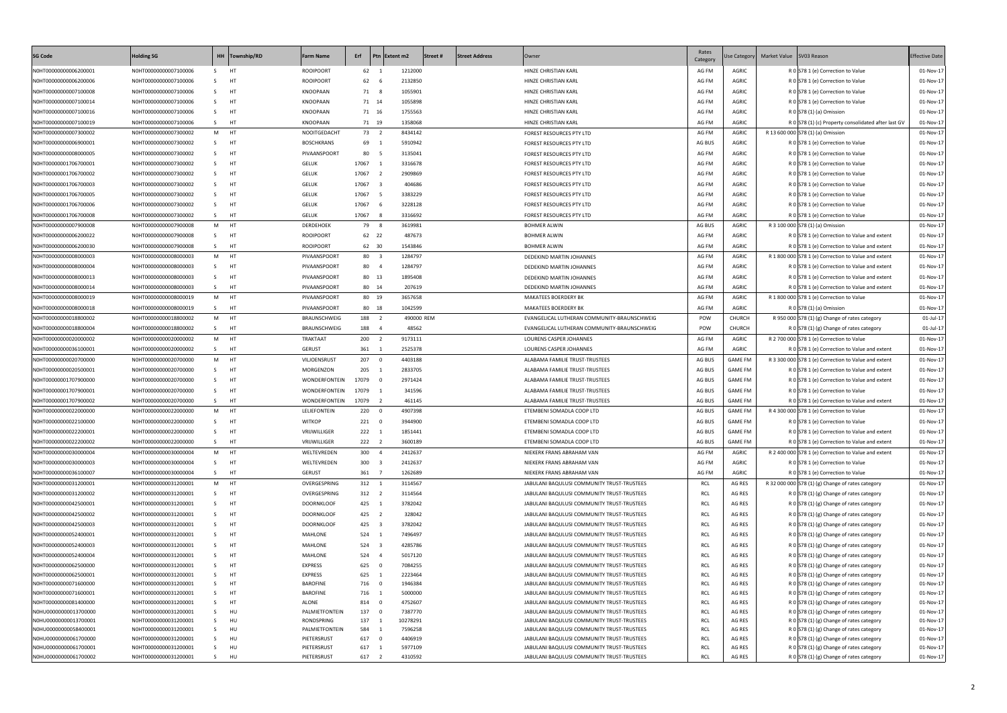| <b>SG Code</b>                                 | <b>Holding SG</b>                              |                | HH Township/RD | <b>Farm Name</b>        | Erf            | Ptn Extent m2  |                    | Street# | <b>Street Address</b> | Owner                                                                                    | Rates<br>Category | <b>Jse Category</b> | Market Value SV03 Reason |                                                                                      | <b>Effective Date</b>  |
|------------------------------------------------|------------------------------------------------|----------------|----------------|-------------------------|----------------|----------------|--------------------|---------|-----------------------|------------------------------------------------------------------------------------------|-------------------|---------------------|--------------------------|--------------------------------------------------------------------------------------|------------------------|
| N0HT00000000006200001                          | N0HT00000000007100006                          | S.             | <b>HT</b>      | <b>ROOIPOORT</b>        | 62 1           |                | 1212000            |         |                       | HINZE CHRISTIAN KARL                                                                     | AG FM             | AGRIC               |                          | R 0 S78 1 (e) Correction to Value                                                    | 01-Nov-17              |
| N0HT00000000006200006                          | N0HT00000000007100006                          | S.             | HT             | <b>ROOIPOORT</b>        | 62             | - 6            | 2132850            |         |                       | HINZE CHRISTIAN KARL                                                                     | AG FM             | AGRIC               |                          | R 0 S78 1 (e) Correction to Value                                                    | 01-Nov-17              |
| N0HT00000000007100008                          | N0HT00000000007100006                          | S.             | HT             | KNOOPAAN                | 71 8           |                | 1055901            |         |                       | HINZE CHRISTIAN KARL                                                                     | AG FM             | AGRIC               |                          | R 0 S78 1 (e) Correction to Value                                                    | 01-Nov-17              |
| N0HT00000000007100014                          | N0HT00000000007100006                          | S.             | HT             | KNOOPAAN                | 71 14          |                | 1055898            |         |                       | HINZE CHRISTIAN KARL                                                                     | AG FM             | AGRIC               |                          | R 0 S78 1 (e) Correction to Value                                                    | 01-Nov-17              |
| N0HT00000000007100016                          | N0HT00000000007100006                          | S –            | <b>HT</b>      | KNOOPAAN                | 71 16          |                | 1755563            |         |                       | HINZE CHRISTIAN KARL                                                                     | AG FM             | AGRIC               |                          | R 0 S78 (1) (a) Omission                                                             | 01-Nov-17              |
| N0HT00000000007100019                          | N0HT00000000007100006                          | S —            | <b>HT</b>      | KNOOPAAN                | 71 19          |                | 1358068            |         |                       | HINZE CHRISTIAN KARL                                                                     | AG FM             | AGRIC               |                          | R 0 S78 (1) (c) Property consolidated after last GV                                  | 01-Nov-17              |
| N0HT00000000007300002                          | N0HT00000000007300002                          | M HT           |                | NOOITGEDACHT            | 73 2           |                | 8434142            |         |                       | FOREST RESOURCES PTY LTD                                                                 | AG FM             | AGRIC               |                          | R 13 600 000 S78 (1) (a) Omission                                                    | 01-Nov-17              |
| N0HT00000000006900001                          | N0HT00000000007300002                          | S –            | <b>HT</b>      | <b>BOSCHKRANS</b>       | 69 1           |                | 5910942            |         |                       | FOREST RESOURCES PTY LTD                                                                 | AG BUS            | AGRIC               |                          | R 0 S78 1 (e) Correction to Value                                                    | 01-Nov-17              |
| N0HT00000000008000005                          | N0HT00000000007300002                          | S –            | HT             | PIVAANSPOORT            | 80 5           |                | 3135041            |         |                       | FOREST RESOURCES PTY LTD                                                                 | AG FM             | AGRIC               |                          | R 0 S78 1 (e) Correction to Value                                                    | 01-Nov-17              |
| N0HT00000001706700001                          | N0HT00000000007300002                          | S.             | HT             | <b>GELUK</b>            | 17067 1        |                | 3316678            |         |                       | FOREST RESOURCES PTY LTD                                                                 | AG FM             | AGRIC               |                          | R 0 S78 1 (e) Correction to Value                                                    | 01-Nov-17              |
| N0HT00000001706700002                          | N0HT00000000007300002                          | S.             | HT             | <b>GELUK</b>            | 17067 2        |                | 2909869            |         |                       | <b>FOREST RESOURCES PTY LTD</b>                                                          | AG FM             | AGRIC               |                          | R 0 S78 1 (e) Correction to Value                                                    | 01-Nov-17              |
| N0HT00000001706700003                          | N0HT00000000007300002                          | S –            | HT             | <b>GELUK</b>            | 17067 3        |                | 404686             |         |                       | FOREST RESOURCES PTY LTD                                                                 | AG FM             | AGRIC               |                          | R 0 S78 1 (e) Correction to Value                                                    | 01-Nov-17              |
| N0HT00000001706700005                          | N0HT00000000007300002                          | S —            | HT             | <b>GELUK</b>            | 17067 5        |                | 3383229            |         |                       | FOREST RESOURCES PTY LTD                                                                 | AG FM             | AGRIC               |                          | R 0 S78 1 (e) Correction to Value                                                    | 01-Nov-17              |
| N0HT00000001706700006                          | N0HT00000000007300002                          | S –            | HT             | <b>GELUK</b>            | 17067 6        |                | 3228128            |         |                       | <b>FOREST RESOURCES PTY LTD</b>                                                          | AG FM             | <b>AGRIC</b>        |                          | R 0 S78 1 (e) Correction to Value                                                    | 01-Nov-17              |
| N0HT00000001706700008                          | N0HT00000000007300002                          | S HT           |                | <b>GELUK</b>            | 17067 8        |                | 3316692            |         |                       | FOREST RESOURCES PTY LTD                                                                 | AG FM             | AGRIC               |                          | R 0 S78 1 (e) Correction to Value                                                    | 01-Nov-17              |
| N0HT00000000007900008                          | N0HT00000000007900008                          | M HT           |                | <b>DERDEHOEK</b>        | 79 8           |                | 3619981            |         |                       | <b>BOHMER ALWIN</b>                                                                      | AG BUS            | <b>AGRIC</b>        |                          | R 3 100 000 S78 (1) (a) Omission                                                     | 01-Nov-17              |
| N0HT00000000006200022                          | N0HT00000000007900008                          | S –            | <b>HT</b>      | <b>ROOIPOORT</b>        | 62 22          |                | 487673             |         |                       | <b>BOHMER ALWIN</b>                                                                      | AG FM             | AGRIC               |                          | R 0 S78 1 (e) Correction to Value and extent                                         | 01-Nov-17              |
| N0HT00000000006200030                          | N0HT00000000007900008                          | S –            | <b>HT</b>      | <b>ROOIPOORT</b>        | 62 30          |                | 1543846            |         |                       | <b>BOHMER ALWIN</b>                                                                      | AG FM             | <b>AGRIC</b>        |                          | R 0 S78 1 (e) Correction to Value and extent                                         | 01-Nov-17              |
| N0HT00000000008000003                          | N0HT00000000008000003                          | M HT           |                | PIVAANSPOORT            | 80 3           |                | 1284797            |         |                       | DEDEKIND MARTIN JOHANNES                                                                 | AG FM             | AGRIC               |                          | R 1 800 000 S78 1 (e) Correction to Value and extent                                 | 01-Nov-17              |
| N0HT00000000008000004                          | N0HT00000000008000003                          | S.             | <b>HT</b>      | PIVAANSPOORT            | 80 4           |                | 1284797            |         |                       | <b>DEDEKIND MARTIN JOHANNES</b>                                                          | AG FM             | AGRIC               |                          | R 0 S78 1 (e) Correction to Value and extent                                         | 01-Nov-17              |
| N0HT00000000008000013                          | N0HT00000000008000003                          | S.             | HT             | PIVAANSPOORT            | 80 13          |                | 1895408            |         |                       | DEDEKIND MARTIN JOHANNES                                                                 | AG FM             | AGRIC               |                          | R 0 S78 1 (e) Correction to Value and extent                                         | 01-Nov-17              |
| N0HT00000000008000014                          | N0HT00000000008000003                          | S HT           |                | PIVAANSPOORT            | 80 14          |                | 207619             |         |                       | DEDEKIND MARTIN JOHANNES                                                                 | AG FM             | AGRIC               |                          | R 0 S78 1 (e) Correction to Value and extent                                         | 01-Nov-17              |
| N0HT00000000008000019                          | N0HT00000000008000019                          | M HT           |                | PIVAANSPOORT            | 80 19          |                | 3657658            |         |                       | MAKATEES BOERDERY BK                                                                     | AG FM             | <b>AGRIC</b>        |                          | R 1 800 000 S78 1 (e) Correction to Value                                            | 01-Nov-17              |
| N0HT00000000008000018                          | N0HT00000000008000019                          | S HT           |                | PIVAANSPOORT            | 80 18          |                | 1042599            |         |                       | <b>MAKATEES BOERDERY BK</b>                                                              | AG FM             | AGRIC               |                          | R 0 S78 (1) (a) Omission                                                             | 01-Nov-17              |
| N0HT00000000018800002                          | N0HT00000000018800002                          | M HT           |                | BRAUNSCHWEIG            | 188 2          |                | 490000 REM         |         |                       | EVANGELICAL LUTHERAN COMMUNITY-BRAUNSCHWEIG                                              | POW               | <b>CHURCH</b>       |                          | R 950 000 $ 578(1)(g)$ Change of rates category                                      | $01$ -Jul-17           |
| N0HT00000000018800004                          | N0HT00000000018800002                          | S HT           |                | BRAUNSCHWEIG            | 188 4          |                | 48562              |         |                       | EVANGELICAL LUTHERAN COMMUNITY-BRAUNSCHWEIG                                              | POW               | CHURCH              |                          | R $0 578(1)(g)$ Change of rates category                                             | $01$ -Jul-17           |
| N0HT00000000020000002                          | N0HT00000000020000002                          | M HT           |                | TRAKTAAT                | 200 2          |                | 9173111            |         |                       | LOURENS CASPER JOHANNES                                                                  | AG FM             | AGRIC               |                          | R 2 700 000 S78 1 (e) Correction to Value                                            | 01-Nov-17              |
| N0HT00000000036100001                          | N0HT00000000020000002                          | S –            | <b>HT</b>      | <b>GERUST</b>           | 361 1          |                | 2525378            |         |                       | LOURENS CASPER JOHANNES                                                                  | AG FM             | <b>AGRIC</b>        |                          | R 0 S78 1 (e) Correction to Value and extent                                         | 01-Nov-17              |
| N0HT00000000020700000                          | N0HT00000000020700000                          | M HT           |                | VILJOENSRUST            | 207 0          |                | 4403188            |         |                       | ALABAMA FAMILIE TRUST-TRUSTEES                                                           | AG BUS            | <b>GAME FM</b>      |                          | R 3 300 000 S78 1 (e) Correction to Value and extent                                 | 01-Nov-17              |
| N0HT00000000020500001                          | N0HT00000000020700000                          | S –            | HT             | MORGENZON               | 205 1          |                | 2833705            |         |                       | ALABAMA FAMILIE TRUST-TRUSTEES                                                           | AG BUS            | <b>GAME FM</b>      |                          | R 0 S78 1 (e) Correction to Value and extent                                         | 01-Nov-17              |
| N0HT00000001707900000                          | N0HT00000000020700000                          | S.             | HT             | WONDERFONTEIN           | 17079 0        |                | 2971424            |         |                       | ALABAMA FAMILIE TRUST-TRUSTEES                                                           | AG BUS            | <b>GAME FM</b>      |                          | R 0 S78 1 (e) Correction to Value and extent                                         | 01-Nov-17              |
| N0HT00000001707900001                          | N0HT00000000020700000                          | S <sub>1</sub> | HT             | WONDERFONTEIN           | 17079 1        |                | 341596             |         |                       | ALABAMA FAMILIE TRUST-TRUSTEES                                                           | AG BUS            | <b>GAME FM</b>      |                          | R 0 S78 1 (e) Correction to Value                                                    | 01-Nov-17              |
| N0HT00000001707900002                          | N0HT00000000020700000                          | S.             | HT             | WONDERFONTEIN           | 17079 2        |                | 461145             |         |                       | ALABAMA FAMILIE TRUST-TRUSTEES                                                           | AG BUS            | <b>GAME FM</b>      |                          | R 0 S78 1 (e) Correction to Value and extent                                         | 01-Nov-17              |
| N0HT00000000022000000                          | N0HT00000000022000000                          | M HT           |                | LELIEFONTEIN            | 220 0          |                | 4907398            |         |                       | ETEMBENI SOMADLA COOP LTD                                                                | AG BUS            | <b>GAME FM</b>      |                          | R 4 300 000 S78 1 (e) Correction to Value                                            | 01-Nov-17              |
| N0HT00000000022100000                          | N0HT00000000022000000                          | S.             | <b>HT</b>      | <b>WITKOP</b>           | 221 0          |                | 3944900            |         |                       | ETEMBENI SOMADLA COOP LTD                                                                | AG BUS            | <b>GAME FM</b>      |                          | R 0 S78 1 (e) Correction to Value                                                    | 01-Nov-17              |
| N0HT00000000022200001                          | N0HT00000000022000000                          | S.             | HT             | VRIJWILLIGER            | 222 1          |                | 1851441            |         |                       | ETEMBENI SOMADLA COOP LTD                                                                | AG BUS            | <b>GAME FM</b>      |                          | R 0 S78 1 (e) Correction to Value and extent                                         | 01-Nov-17              |
| N0HT00000000022200002                          | N0HT00000000022000000                          | S.             | HT             | VRIJWILLIGER            | 222 2          |                | 3600189            |         |                       | ETEMBENI SOMADLA COOP LTD                                                                | AG BUS            | <b>GAME FM</b>      |                          | R 0 S78 1 (e) Correction to Value and extent                                         | 01-Nov-17              |
| N0HT00000000030000004                          | N0HT00000000030000004                          | M HT           |                | WELTEVREDEN             | 300 4          |                | 2412637            |         |                       | NIEKERK FRANS ABRAHAM VAN                                                                | AG FM             | AGRIC               |                          | R 2 400 000 S78 1 (e) Correction to Value and extent                                 | 01-Nov-17              |
| N0HT00000000030000003                          | N0HT00000000030000004                          | S —            | HT             | WELTEVREDEN             | 300 3          |                | 2412637            |         |                       | NIEKERK FRANS ABRAHAM VAN                                                                | AG FM             | AGRIC               |                          | R 0 S78 1 (e) Correction to Value                                                    | 01-Nov-17              |
| N0HT00000000036100007                          | N0HT00000000030000004                          | S              | <b>HT</b>      | GERUST                  | 361 7          |                | 1262689            |         |                       | NIEKERK FRANS ABRAHAM VAN                                                                | AG FM             | AGRIC               |                          | R 0 S78 1 (e) Correction to Value                                                    | 01-Nov-17              |
| N0HT00000000031200001                          | N0HT00000000031200001                          | M HT           |                | OVERGESPRING            | 312 1          |                | 3114567            |         |                       | JABULANI BAQULUSI COMMUNITY TRUST-TRUSTEES                                               | <b>RCL</b>        | AG RES              |                          | R 32 000 000 S78 (1) (g) Change of rates category                                    | 01-Nov-17              |
| N0HT00000000031200002                          | N0HT00000000031200001                          | S –            | HT             | OVERGESPRING            | 312 2          |                | 3114564            |         |                       | JABULANI BAQULUSI COMMUNITY TRUST-TRUSTEES                                               | <b>RCL</b>        | AG RES              |                          | R 0 S78 (1) (g) Change of rates category                                             | 01-Nov-17              |
| N0HT00000000042500001                          | N0HT00000000031200001                          | S <sub>1</sub> | HT             | <b>DOORNKLOOF</b>       | 425 1          |                | 3782042            |         |                       | JABULANI BAQULUSI COMMUNITY TRUST-TRUSTEES                                               | <b>RCL</b>        | AG RES              |                          | R 0 S78 (1) (g) Change of rates category                                             | 01-Nov-17              |
| N0HT00000000042500002                          | N0HT00000000031200001                          | S –            | HT             | <b>DOORNKLOOF</b>       | 425 2          |                | 328042             |         |                       | JABULANI BAQULUSI COMMUNITY TRUST-TRUSTEES                                               | RCL               | AG RES              |                          | R 0 S78 (1) (g) Change of rates category                                             | 01-Nov-17              |
| N0HT00000000042500003                          | N0HT00000000031200001                          | S –            | HT             | <b>DOORNKLOOF</b>       | 425 3          |                | 3782042            |         |                       | JABULANI BAQULUSI COMMUNITY TRUST-TRUSTEES                                               | RCL               | AG RES              |                          | R 0 S78 (1) (g) Change of rates category                                             | 01-Nov-17              |
| N0HT00000000052400001                          | N0HT00000000031200001                          | S <sub>3</sub> | HT             | MAHLONE                 | 524 1          |                | 7496497            |         |                       | JABULANI BAQULUSI COMMUNITY TRUST-TRUSTEES                                               | RCL               | AG RES              |                          | R 0 S78 (1) (g) Change of rates category                                             | 01-Nov-17              |
| N0HT00000000052400003                          | N0HT00000000031200001                          | S <sub>3</sub> | <b>HT</b>      | MAHLONE                 | 524 3          |                | 4285786            |         |                       | JABULANI BAQULUSI COMMUNITY TRUST-TRUSTEES                                               | RCL               | AG RES              |                          | R 0 S78 (1) (g) Change of rates category                                             | 01-Nov-17              |
| N0HT00000000052400004                          | N0HT00000000031200001                          | S –            | HT             | MAHLONE                 | 524 4          |                | 5017120            |         |                       | JABULANI BAQULUSI COMMUNITY TRUST-TRUSTEES                                               | RCL               | AG RES              |                          | R 0 S78 (1) (g) Change of rates category                                             | 01-Nov-17              |
| N0HT00000000062500000                          | N0HT00000000031200001                          | S <sub>1</sub> | HT             | <b>EXPRESS</b>          | 625 0          |                | 7084255            |         |                       | JABULANI BAQULUSI COMMUNITY TRUST-TRUSTEES                                               | <b>RCL</b>        | AG RES              |                          | R 0 S78 (1) (g) Change of rates category                                             | 01-Nov-17              |
| N0HT00000000062500001                          | N0HT00000000031200001                          | S.             | HT             | <b>EXPRESS</b>          | 625            | $\overline{1}$ | 2223464            |         |                       | JABULANI BAQULUSI COMMUNITY TRUST-TRUSTEES                                               | RCL               | AG RES              |                          | R 0 S78 (1) (g) Change of rates category                                             | 01-Nov-17              |
| N0HT00000000071600000                          | N0HT00000000031200001                          | S.             | HT             | <b>BAROFINE</b>         | 716 0          |                | 1946384            |         |                       | JABULANI BAQULUSI COMMUNITY TRUST-TRUSTEES                                               | RCL               | AG RES              |                          | R $0$ S78 (1) (g) Change of rates category                                           | 01-Nov-17              |
| N0HT00000000071600001                          | N0HT00000000031200001                          | S.             | HT             | <b>BAROFINE</b>         | 716 1          |                | 5000000            |         |                       | JABULANI BAQULUSI COMMUNITY TRUST-TRUSTEES                                               | RCL               | AG RES              |                          | R 0 S78 (1) (g) Change of rates category                                             | 01-Nov-17              |
| N0HT00000000081400000<br>N0HU00000000013700000 | N0HT00000000031200001<br>N0HT00000000031200001 | S.<br>S.       | HT             | ALONE<br>PALMIETFONTEIN | 814 0<br>137 0 |                | 4752607<br>7387770 |         |                       | JABULANI BAQULUSI COMMUNITY TRUST-TRUSTEES                                               | RCL<br><b>RCL</b> | AG RES              |                          | R 0 S78 (1) (g) Change of rates category                                             | 01-Nov-17              |
| N0HU00000000013700001                          | N0HT00000000031200001                          | S.             | HU<br>HU       | <b>RONDSPRING</b>       | 137            |                | 10278291           |         |                       | JABULANI BAQULUSI COMMUNITY TRUST-TRUSTEES<br>JABULANI BAQULUSI COMMUNITY TRUST-TRUSTEES | <b>RCL</b>        | AG RES<br>AG RES    |                          | R 0 S78 (1) (g) Change of rates category<br>R 0 S78 (1) (g) Change of rates category | 01-Nov-17<br>01-Nov-17 |
| N0HU00000000058400001                          | N0HT00000000031200001                          | S.             | HU             | PALMIETFONTEIN          | 584 1          |                | 7596258            |         |                       | JABULANI BAQULUSI COMMUNITY TRUST-TRUSTEES                                               | RCL               | AG RES              |                          | R $0$ S78 (1) (g) Change of rates category                                           | 01-Nov-17              |
| N0HU00000000061700000                          | N0HT00000000031200001                          | S.             | HU             | PIETERSRUST             | 617 0          |                | 4406919            |         |                       | JABULANI BAQULUSI COMMUNITY TRUST-TRUSTEES                                               | RCL               | AG RES              |                          | R 0 S78 (1) (g) Change of rates category                                             | 01-Nov-17              |
| N0HU00000000061700001                          | N0HT00000000031200001                          | S.             | HU             | PIETERSRUST             | 617 1          |                | 5977109            |         |                       | JABULANI BAQULUSI COMMUNITY TRUST-TRUSTEES                                               | <b>RCL</b>        | AG RES              |                          | R $0$ S78 (1) (g) Change of rates category                                           | 01-Nov-17              |
| N0HU00000000061700002                          | N0HT00000000031200001                          | S <sub>3</sub> | HU             | PIETERSRUST             | 617 2          |                | 4310592            |         |                       | JABULANI BAQULUSI COMMUNITY TRUST-TRUSTEES                                               | RCL               | AG RES              |                          | R 0 S78 (1) (g) Change of rates category                                             | 01-Nov-17              |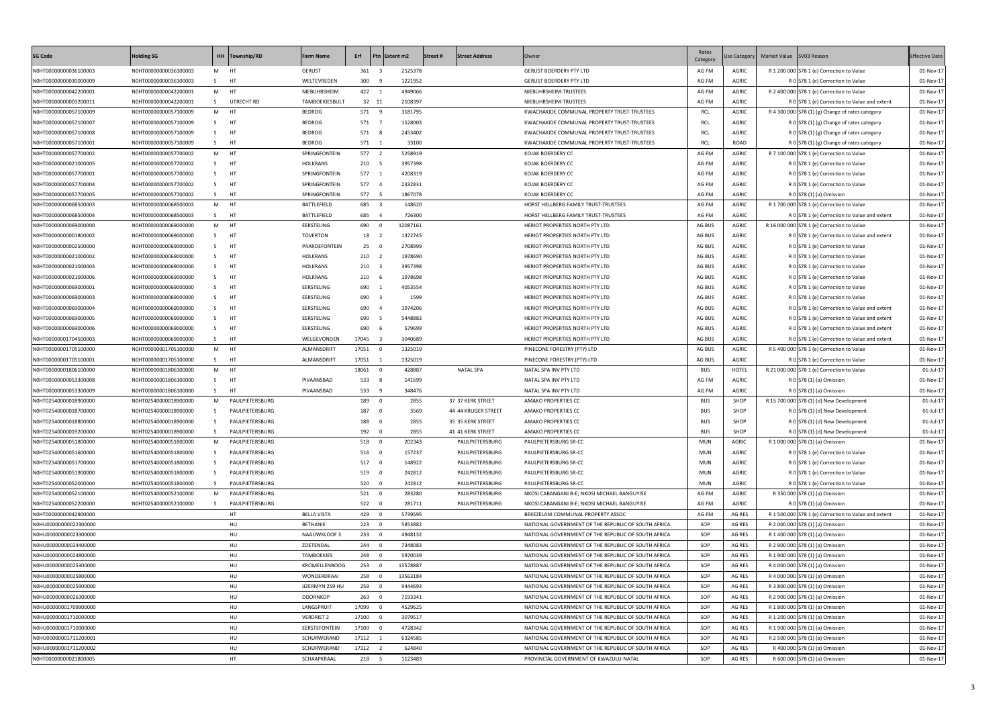| SG Code               | <b>Holding SG</b>     | HH Township/RD         | <b>Farm Name</b>     | Erf                             | Ptn Extent m2 | Street#<br><b>Street Address</b> | Owner                                               | Rates<br>Category | Jse Category | Market Value SV03 Reason |                                                      | <b>Effective Date</b> |
|-----------------------|-----------------------|------------------------|----------------------|---------------------------------|---------------|----------------------------------|-----------------------------------------------------|-------------------|--------------|--------------------------|------------------------------------------------------|-----------------------|
| N0HT00000000036100003 | N0HT00000000036100003 | M HT                   | <b>GERUST</b>        | 361 3                           | 2525378       |                                  | <b>GERUST BOERDERY PTY LTD</b>                      | AG FM             | <b>AGRIC</b> |                          | R 1 200 000 S78 1 (e) Correction to Value            | 01-Nov-17             |
| N0HT00000000030000009 | N0HT00000000036100003 | HT<br>S.               | WELTEVREDEN          | 300<br>- 9                      | 1221952       |                                  | <b>GERUST BOERDERY PTY LTD</b>                      | AG FM             | AGRIC        |                          | R 0 S78 1 (e) Correction to Value                    | 01-Nov-17             |
| N0HT00000000042200001 | N0HT00000000042200001 | M HT                   | NIEBUHRSHEIM         | 422 1                           | 4949066       |                                  | NIEBUHRSHEIM-TRUSTEES                               | AG FM             | <b>AGRIC</b> |                          | R 2 400 000 S78 1 (e) Correction to Value            | 01-Nov-17             |
| N0HT00000000003200011 | N0HT00000000042200001 | S —<br>UTRECHT RD      | TAMBOEKIESBULT       | 32 11                           | 2108397       |                                  | NIEBUHRSHEIM-TRUSTEES                               | AG FM             | AGRIC        |                          | R 0 S78 1 (e) Correction to Value and extent         | 01-Nov-17             |
| N0HT00000000057100009 | N0HT00000000057100009 | M HT                   | <b>BEDROG</b>        | 571 9                           | 3181795       |                                  | KWACHAKIDE COMMUNAL PROPERTY TRUST-TRUSTEES         | RCL               | AGRIC        |                          | R 4 300 000 S78 (1) (g) Change of rates category     | 01-Nov-17             |
| N0HT00000000057100007 | N0HT00000000057100009 | S —<br><b>HT</b>       | <b>BEDROG</b>        | 571 7                           | 1528003       |                                  | KWACHAKIDE COMMUNAL PROPERTY TRUST-TRUSTEES         | <b>RCL</b>        | AGRIC        |                          | R 0 S78 (1) (g) Change of rates category             | 01-Nov-17             |
| N0HT00000000057100008 | N0HT00000000057100009 | S —<br><b>HT</b>       | <b>BEDROG</b>        | 571 8                           | 2453402       |                                  | KWACHAKIDE COMMUNAL PROPERTY TRUST-TRUSTEES         | <b>RCL</b>        | AGRIC        |                          | R $0$ S78 (1) (g) Change of rates category           | 01-Nov-17             |
| N0HT00000000057100001 | N0HT00000000057100009 | S HT                   | <b>BEDROG</b>        | 571 1                           | 33100         |                                  | KWACHAKIDE COMMUNAL PROPERTY TRUST-TRUSTEES         | <b>RCL</b>        | ROAD         |                          | R $0$ S78 (1) (g) Change of rates category           | 01-Nov-17             |
| N0HT00000000057700002 | N0HT00000000057700002 | M HT                   | SPRINGFONTEIN        | 577 2                           | 5258919       |                                  | KOJAK BOERDERY CC                                   | AG FM             | <b>AGRIC</b> |                          | R 7 100 000 S78 1 (e) Correction to Value            | 01-Nov-17             |
| N0HT00000000021000005 | N0HT00000000057700002 | S —<br>HT              | <b>HOLKRANS</b>      | 210 5                           | 3957398       |                                  | KOJAK BOERDERY CC                                   | AG FM             | AGRIC        |                          | R 0 S78 1 (e) Correction to Value                    | 01-Nov-17             |
| N0HT00000000057700001 | N0HT00000000057700002 | S —<br>HT              | SPRINGFONTEIN        | 577 1                           | 4208319       |                                  | KOJAK BOERDERY CC                                   | AG FM             | AGRIC        |                          | R 0 S78 1 (e) Correction to Value                    | 01-Nov-17             |
| N0HT00000000057700004 | N0HT00000000057700002 | S —<br>HT              | SPRINGFONTEIN        | 577 4                           | 2332831       |                                  | KOJAK BOERDERY CC                                   | AG FM             | <b>AGRIC</b> |                          | R 0 S78 1 (e) Correction to Value                    | 01-Nov-17             |
| N0HT00000000057700005 | N0HT00000000057700002 | S<br>HT                | SPRINGFONTEIN        | 577 5                           | 1867078       |                                  | KOJAK BOERDERY CC                                   | AG FM             | AGRIC        |                          | R 0 S78 (1) (a) Omission                             | 01-Nov-17             |
| N0HT00000000068500003 | N0HT00000000068500003 | M HT                   | BATTLEFIELD          | 685 3                           | 148620        |                                  | HORST HELLBERG FAMILY TRUST-TRUSTEES                | AG FM             | AGRIC        |                          | R 1 700 000 S78 1 (e) Correction to Value            | 01-Nov-17             |
| N0HT00000000068500004 | N0HT00000000068500003 | S HT                   | BATTLEFIELD          | 685 4                           | 726300        |                                  | HORST HELLBERG FAMILY TRUST-TRUSTEES                | AG FM             | <b>AGRIC</b> |                          | R 0 S78 1 (e) Correction to Value and extent         | 01-Nov-17             |
| N0HT00000000069000000 | N0HT00000000069000000 | M HT                   | EERSTELING           | 690<br>$\overline{\phantom{0}}$ | 12087161      |                                  | HERIOT PROPERTIES NORTH PTY LTD                     | AG BUS            | <b>AGRIC</b> |                          | R 16 000 000 S78 1 (e) Correction to Value           | 01-Nov-17             |
| N0HT00000000001800002 | N0HT00000000069000000 | HT<br>S —              | <b>TOVERTON</b>      | 18 2                            | 1372745       |                                  | HERIOT PROPERTIES NORTH PTY LTD                     | AG BUS            | <b>AGRIC</b> |                          | R 0 S78 1 (e) Correction to Value and extent         | 01-Nov-17             |
| N0HT00000000002500000 | N0HT00000000069000000 | HT<br>S.               | PAARDEFONTEIN        | 25 0                            | 2708999       |                                  | HERIOT PROPERTIES NORTH PTY LTD                     | AG BUS            | AGRIC        |                          | R 0 S78 1 (e) Correction to Value                    | 01-Nov-17             |
| N0HT00000000021000002 | N0HT00000000069000000 | HT<br>S.               | <b>HOLKRANS</b>      | 210 2                           | 1978690       |                                  | HERIOT PROPERTIES NORTH PTY LTD                     | AG BUS            | AGRIC        |                          | R 0 S78 1 (e) Correction to Value                    | 01-Nov-17             |
| N0HT00000000021000003 | N0HT00000000069000000 | HT<br>S.               | <b>HOLKRANS</b>      | 210 3                           | 3957398       |                                  | HERIOT PROPERTIES NORTH PTY LTD                     | AG BUS            | AGRIC        |                          | R 0 S78 1 (e) Correction to Value                    | 01-Nov-17             |
| N0HT00000000021000006 | N0HT00000000069000000 | HT<br>S –              | <b>HOLKRANS</b>      | 210 6                           | 1978698       |                                  | HERIOT PROPERTIES NORTH PTY LTD                     | AG BUS            | AGRIC        |                          | R 0 S78 1 (e) Correction to Value                    | 01-Nov-17             |
| N0HT00000000069000001 | N0HT00000000069000000 | S –<br>HT              | EERSTELING           | 690<br>$\overline{\phantom{0}}$ | 4053554       |                                  | HERIOT PROPERTIES NORTH PTY LTD                     | AG BUS            | AGRIC        |                          | R 0 S78 1 (e) Correction to Value                    | 01-Nov-17             |
| N0HT00000000069000003 | N0HT00000000069000000 | S -<br>HT              | EERSTELING           | 690 3                           | 1599          |                                  | HERIOT PROPERTIES NORTH PTY LTD                     | AG BUS            | AGRIC        |                          | R 0 S78 1 (e) Correction to Value                    | 01-Nov-17             |
| N0HT00000000069000004 | N0HT00000000069000000 | S –<br>HT              | EERSTELING           | 690<br>- 4                      | 1974206       |                                  | HERIOT PROPERTIES NORTH PTY LTD                     | AG BUS            | <b>AGRIC</b> |                          | R 0 S78 1 (e) Correction to Value and extent         | 01-Nov-17             |
| N0HT00000000069000005 | N0HT00000000069000000 | S –<br>HT              | EERSTELING           | 690<br>5                        | 5448883       |                                  | HERIOT PROPERTIES NORTH PTY LTD                     | AG BUS            | <b>AGRIC</b> |                          | R 0 S78 1 (e) Correction to Value and extent         | 01-Nov-17             |
| N0HT00000000069000006 | N0HT00000000069000000 | S <sub>3</sub><br>HT   | EERSTELING           | 690<br>6                        | 579699        |                                  | HERIOT PROPERTIES NORTH PTY LTD                     | AG BUS            | <b>AGRIC</b> |                          | R 0 S78 1 (e) Correction to Value and extent         | 01-Nov-17             |
| N0HT00000001704500003 | N0HT00000000069000000 | S<br>HT                | WELGEVONDEN          | 17045 3                         | 3040689       |                                  | HERIOT PROPERTIES NORTH PTY LTD                     | AG BUS            | <b>AGRIC</b> |                          | R 0 S78 1 (e) Correction to Value and extent         | 01-Nov-17             |
| N0HT00000001705100000 | N0HT00000001705100000 | M HT                   | ALMANSDRIFT          | 17051 0                         | 1325019       |                                  | PINECONE FORESTRY (PTY) LTD                         | AG BUS            | <b>AGRIC</b> |                          | R 5 400 000 S78 1 (e) Correction to Value            | 01-Nov-17             |
| N0HT00000001705100001 | N0HT00000001705100000 | S HT                   | ALMANSDRIFT          | 17051 1                         | 1325019       |                                  | PINECONE FORESTRY (PTY) LTD                         | AG BUS            | <b>AGRIC</b> |                          | R 0 S78 1 (e) Correction to Value                    | 01-Nov-17             |
| N0HT00000001806100000 | N0HT00000001806100000 | M HT                   |                      | 18061 0                         | 428887        | <b>NATAL SPA</b>                 | NATAL SPA INV PTY LTD                               | <b>BUS</b>        | <b>HOTEL</b> |                          | R 21 000 000 S78 1 (e) Correction to Value           | 01-Jul-17             |
| N0HT00000000053300008 | N0HT00000001806100000 | S -<br>HT              | PIVAANSBAD           | 533 8                           | 141699        |                                  | NATAL SPA INV PTY LTD                               | AG FM             | <b>AGRIC</b> |                          | R 0 S78 (1) (a) Omission                             | 01-Nov-17             |
| N0HT00000000053300009 | N0HT00000001806100000 | S <sub>3</sub><br>HT   | PIVAANSBAD           | 533 9                           | 348476        |                                  | NATAL SPA INV PTY LTD                               | AG FM             | AGRIC        |                          | $R 0$ S78 (1) (a) Omission                           | 01-Nov-17             |
| N0HT02540000018900000 | N0HT02540000018900000 | PAULPIETERSBURG<br>M   |                      | 189 0                           | 2855          | 37 37 KERK STREET                | AMAKO PROPERTIES CC                                 | BUS               | SHOP         |                          | R 15 700 000 S78 (1) (d) New Development             | 01-Jul-17             |
| N0HT02540000018700000 | N0HT02540000018900000 | PAULPIETERSBURG<br>S.  |                      | 187 0                           | 3569          | 44 44 KRUGER STREET              | AMAKO PROPERTIES CC                                 | <b>BUS</b>        | SHOP         |                          | R $0 578(1)(d)$ New Development                      | $01 -$ Jul-17         |
| N0HT02540000018800000 | N0HT02540000018900000 | S.<br>PAULPIETERSBURG  |                      | 188<br>$\bigcap$                | 2855          | 35 35 KERK STREET                | AMAKO PROPERTIES CC                                 | <b>BUS</b>        | SHOP         |                          | R 0 S78 (1) (d) New Development                      | 01-Jul-17             |
| N0HT02540000019200000 | N0HT02540000018900000 | PAULPIETERSBURG<br>S.  |                      | 192 0                           | 2855          | 41 41 KERK STREET                | AMAKO PROPERTIES CC                                 | <b>BUS</b>        | SHOP         |                          | R 0 S78 (1) (d) New Development                      | 01-Jul-17             |
| N0HT02540000051800000 | N0HT02540000051800000 | PAULPIETERSBURG<br>M   |                      | 518 0                           | 202343        | PAULPIETERSBURG                  | PAULPIETERSBURG SR-CC                               | MUN               | AGRIC        |                          | R 1 000 000 S78 (1) (a) Omission                     | 01-Nov-17             |
| N0HT02540000051600000 | N0HT02540000051800000 | S.<br>PAULPIETERSBURG  |                      | 516 0                           | 157237        | PAULPIETERSBURG                  | PAULPIETERSBURG SR-CC                               | MUN               | AGRIC        |                          | R 0 S78 1 (e) Correction to Value                    | 01-Nov-17             |
| N0HT02540000051700000 | N0HT02540000051800000 | PAULPIETERSBURG<br>S.  |                      | 517 0                           | 148922        | PAULPIETERSBURG                  | PAULPIETERSBURG SR-CC                               | MUN               | AGRIC        |                          | R 0 S78 1 (e) Correction to Value                    | 01-Nov-17             |
| N0HT02540000051900000 | N0HT02540000051800000 | PAULPIETERSBURG<br>S.  |                      | 519 0                           | 242812        | PAULPIETERSBURG                  | PAULPIETERSBURG SR-CC                               | MUN               | AGRIC        |                          | R 0 S78 1 (e) Correction to Value                    | 01-Nov-17             |
| N0HT02540000052000000 | N0HT02540000051800000 | PAULPIETERSBURG<br>S.  |                      | 520 0                           | 242812        | PAULPIETERSBURG                  | PAULPIETERSBURG SR-CC                               | MUN               | AGRIC        |                          | R 0 S78 1 (e) Correction to Value                    | 01-Nov-17             |
| N0HT02540000052100000 | N0HT02540000052100000 | M PAULPIETERSBURG      |                      | 521 0                           | 283280        | PAULPIETERSBURG                  | NKOSI CABANGANI B-E; NKOSI MICHAEL BANGUYISE        | AG FM             | AGRIC        |                          | R 350 000 S78 (1) (a) Omission                       | 01-Nov-17             |
| N0HT02540000052200000 | N0HT02540000052100000 | PAULPIETERSBURG<br>S – |                      | 522 0                           | 281711        | PAULPIETERSBURG                  | NKOSI CABANGANI B-E; NKOSI MICHAEL BANGUYISE        | AG FM             | AGRIC        |                          | R 0 S78 (1) (a) Omission                             | 01-Nov-17             |
| N0HT00000000042900000 |                       | HT                     | <b>BELLA VISTA</b>   | 429 0                           | 5739595       |                                  | BEKEZELANI COMMUNAL PROPERTY ASSOC                  | AG FM             | AG RES       |                          | R 1 500 000 S78 1 (e) Correction to Value and extent | 01-Nov-17             |
| N0HU00000000022300000 |                       | HU                     | BETHANIE             | 223 0                           | 5853882       |                                  | NATIONAL GOVERNMENT OF THE REPUBLIC OF SOUTH AFRICA | SOP               | AG RES       |                          | R 2 000 000 S78 (1) (a) Omission                     | 01-Nov-17             |
| N0HU00000000023300000 |                       | HU                     | NAAUWKLOOF 3         | 233 0                           | 4948132       |                                  | NATIONAL GOVERNMENT OF THE REPUBLIC OF SOUTH AFRICA | SOP               | AG RES       |                          | R 1 400 000 S78 (1) (a) Omission                     | 01-Nov-17             |
| N0HU00000000024400000 |                       | HU                     | ZOETENDAL            | 244 0                           | 7348083       |                                  | NATIONAL GOVERNMENT OF THE REPUBLIC OF SOUTH AFRICA | SOP               | AG RES       |                          | R 2 900 000 S78 (1) (a) Omission                     | 01-Nov-17             |
| N0HU00000000024800000 |                       | HU                     | TAMBOEKIES           | 248 0                           | 5970039       |                                  | NATIONAL GOVERNMENT OF THE REPUBLIC OF SOUTH AFRICA | SOP               | AG RES       |                          | R 1 900 000 S78 (1) (a) Omission                     | 01-Nov-17             |
| N0HU00000000025300000 |                       | HU                     | <b>KROMELLENBOOG</b> | 253 0                           | 13578887      |                                  | NATIONAL GOVERNMENT OF THE REPUBLIC OF SOUTH AFRICA | SOP               | AG RES       |                          | R 4 000 000 S78 (1) (a) Omission                     | 01-Nov-17             |
| N0HU00000000025800000 |                       | HU                     | WONDERDRAAI          | 258 0                           | 13563184      |                                  | NATIONAL GOVERNMENT OF THE REPUBLIC OF SOUTH AFRICA | SOP               | AG RES       |                          | R 4 000 000 S78 (1) (a) Omission                     | 01-Nov-17             |
| N0HU00000000025900000 |                       | HU                     | IJZERMYN 259 HU      | 259 0                           | 9444693       |                                  | NATIONAL GOVERNMENT OF THE REPUBLIC OF SOUTH AFRICA | SOP               | AG RES       |                          | R 3 800 000 S78 (1) (a) Omission                     | 01-Nov-17             |
| N0HU00000000026300000 |                       | HU                     | <b>DOORNKOP</b>      | 26300                           | 7193341       |                                  | NATIONAL GOVERNMENT OF THE REPUBLIC OF SOUTH AFRICA | SOP               | AG RES       |                          | R 2 900 000 S78 (1) (a) Omission                     | 01-Nov-17             |
| N0HU00000001709900000 |                       | HU                     | LANGSPRUIT           | 17099 0                         | 4529625       |                                  | NATIONAL GOVERNMENT OF THE REPUBLIC OF SOUTH AFRICA | SOP               | AG RES       |                          | R 1 800 000 S78 (1) (a) Omission                     | 01-Nov-17             |
| N0HU00000001710000000 |                       | HU                     | <b>VERDRIET 2</b>    | 17100 0                         | 3079517       |                                  | NATIONAL GOVERNMENT OF THE REPUBLIC OF SOUTH AFRICA | SOP               | AG RES       |                          | R 1 200 000 S78 (1) (a) Omission                     | 01-Nov-17             |
| N0HU00000001710900000 |                       | HU                     | EERSTEFONTEIN        | 17109 0                         | 4728342       |                                  | NATIONAL GOVERNMENT OF THE REPUBLIC OF SOUTH AFRICA | SOP               | AG RES       |                          | R 1 900 000 S78 (1) (a) Omission                     | 01-Nov-17             |
| N0HU00000001711200001 |                       | HU                     | SCHURWERAND          | 17112 1                         | 6324585       |                                  | NATIONAL GOVERNMENT OF THE REPUBLIC OF SOUTH AFRICA | SOP               | AG RES       |                          | R 2 500 000 S78 (1) (a) Omission                     | 01-Nov-17             |
| N0HU00000001711200002 |                       | HU                     | SCHURWERAND          | 17112 2                         | 624840        |                                  | NATIONAL GOVERNMENT OF THE REPUBLIC OF SOUTH AFRICA | SOP               | AG RES       |                          | R 400 000 S78 (1) (a) Omission                       | 01-Nov-17             |
| N0HT00000000021800005 |                       | HT                     | SCHAAPKRAAL          | 218 5                           | 1123483       |                                  | PROVINCIAL GOVERNMENT OF KWAZULU-NATAL              | SOP               | AG RES       |                          | R 600 000 S78 (1) (a) Omission                       | 01-Nov-17             |
|                       |                       |                        |                      |                                 |               |                                  |                                                     |                   |              |                          |                                                      |                       |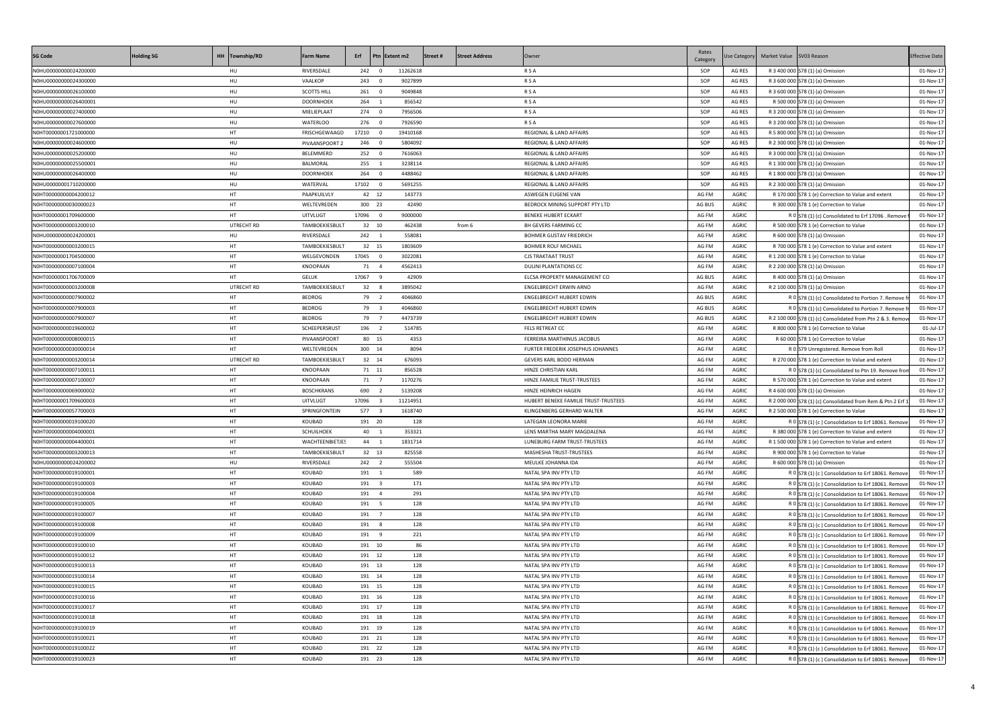| <b>SG Code</b>                                 | <b>Holding SG</b> | HH Township/RD | <b>Farm Name</b>       |                 | Erf Ptn Extent m2 | Street#   | <b>Street Address</b> | Owner                                          | Rates<br>Category | <b>Jse Category</b>   | Market Value SV03 Reason |                                                                                                          | <b>Effective Date</b>  |
|------------------------------------------------|-------------------|----------------|------------------------|-----------------|-------------------|-----------|-----------------------|------------------------------------------------|-------------------|-----------------------|--------------------------|----------------------------------------------------------------------------------------------------------|------------------------|
| N0HU00000000024200000                          |                   | HU             | RIVERSDALE             | 242 0           | 11262618          |           |                       | <b>RSA</b>                                     | SOP               | AG RES                |                          | R 3 400 000 S78 (1) (a) Omission                                                                         | 01-Nov-17              |
| N0HU00000000024300000                          |                   | HU             | VAALKOP                | 243 0           | 9027899           |           |                       | <b>RSA</b>                                     | SOP               | AG RES                |                          | R 3 600 000 S78 (1) (a) Omission                                                                         | 01-Nov-17              |
| N0HU00000000026100000                          |                   | HU             | <b>SCOTTS HILL</b>     | 261 0           | 9049848           |           |                       | <b>RSA</b>                                     | SOP               | AG RES                |                          | R 3 600 000 S78 (1) (a) Omission                                                                         | 01-Nov-17              |
| N0HU00000000026400001                          |                   | HU             | <b>DOORNHOEK</b>       | 264 1           | 856542            |           |                       | <b>RSA</b>                                     | SOP               | AG RES                |                          | R 500 000 S78 (1) (a) Omission                                                                           | 01-Nov-17              |
| N0HU00000000027400000                          |                   | HU             | MIELIEPLAAT            | 274 0           | 7956506           |           |                       | <b>RSA</b>                                     | SOP               | AG RES                |                          | R 3 200 000 S78 (1) (a) Omission                                                                         | 01-Nov-17              |
| N0HU00000000027600000                          |                   | HU             | <b>WATERLOO</b>        | 276 0           | 7926590           |           |                       | <b>RSA</b>                                     | SOP               | AG RES                |                          | R 3 200 000 S78 (1) (a) Omission                                                                         | 01-Nov-17              |
| N0HT00000001721000000                          |                   | HT.            | FRISCHGEWAAGD          | 17210 0         | 19410168          |           |                       | REGIONAL & LAND AFFAIRS                        | SOP               | AG RES                |                          | R 5 800 000 S78 (1) (a) Omission                                                                         | 01-Nov-17              |
| N0HU00000000024600000                          |                   | HU             | PIVAANSPOORT 2         | 246 0           | 5804092           |           |                       | REGIONAL & LAND AFFAIRS                        | SOP               | AG RES                |                          | R 2 300 000 S78 (1) (a) Omission                                                                         | 01-Nov-17              |
| N0HU00000000025200000                          |                   | HU             | BELEMMERD              | 252 0           | 7616063           |           |                       | REGIONAL & LAND AFFAIRS                        | SOP               | AG RES                |                          | R 3 000 000 S78 (1) (a) Omission                                                                         | 01-Nov-17              |
| N0HU00000000025500001                          |                   | HU             | BALMORAL               | 255 1           | 3238114           |           |                       | REGIONAL & LAND AFFAIRS                        | SOP               | AG RES                |                          | R 1 300 000 S78 (1) (a) Omission                                                                         | 01-Nov-17              |
| N0HU00000000026400000                          |                   | HU             | <b>DOORNHOEK</b>       | 264 0           | 4488462           |           |                       | REGIONAL & LAND AFFAIRS                        | SOP               | AG RES                |                          | R 1 800 000 S78 (1) (a) Omission                                                                         | 01-Nov-17              |
| N0HU00000001710200000                          |                   | HU             | WATERVAL               | 17102 0         | 5691255           |           |                       | REGIONAL & LAND AFFAIRS                        | SOP               | AG RES                |                          | R 2 300 000 S78 (1) (a) Omission                                                                         | 01-Nov-17              |
| N0HT00000000004200012                          |                   | HT.            | PAAPKUILVLY            | 42 12           | 143773            |           |                       | ASWEGEN EUGENE VAN                             | AG FM             | AGRIC                 |                          | R 170 000 S78 1 (e) Correction to Value and extent                                                       | 01-Nov-17              |
| N0HT00000000030000023                          |                   | HT.            | WELTEVREDEN            | 300 23          |                   | 42490     |                       | BEDROCK MINING SUPPORT PTY LTD                 | AG BUS            | AGRIC                 |                          | R 300 000 S78 1 (e) Correction to Value                                                                  | 01-Nov-17              |
| N0HT00000001709600000                          |                   | HT.            | <b>UITVLUGT</b>        | 17096 0         | 9000000           |           |                       | <b>BENEKE HUBERT ECKART</b>                    | AG FM             | AGRIC                 |                          | R 0 S78 (1) (c) Consolidated to Erf 17096. Remove                                                        | 01-Nov-17              |
| N0HT00000000003200010                          |                   | UTRECHT RD     | TAMBOEKIESBULT         | 32 10           | 462438            |           | from 6                | BH GEVERS FARMING CC                           | AG FM             | AGRIC                 |                          | R 500 000 S78 1 (e) Correction to Value                                                                  | 01-Nov-17              |
| N0HU00000000024200001                          |                   | HU             | RIVERSDALE             | 242 1           | 558081            |           |                       | <b>BOHMER GUSTAV FRIEDRICH</b>                 | AG FM             | AGRIC                 |                          | R 600 000 S78 (1) (a) Omission                                                                           | 01-Nov-17              |
| N0HT00000000003200015                          |                   | HT             | TAMBOEKIESBULT         | 32 15           | 1803609           |           |                       | <b>BOHMER ROLF MICHAEL</b>                     | AG FM             | AGRIC                 |                          | R 700 000 S78 1 (e) Correction to Value and extent                                                       | 01-Nov-17              |
| N0HT00000001704500000                          |                   | HT             | WELGEVONDEN            | 17045 0         | 3022081           |           |                       | <b>CJS TRAKTAAT TRUST</b>                      | AG FM             | AGRIC                 |                          | R 1 200 000 S78 1 (e) Correction to Value                                                                | 01-Nov-17              |
| N0HT00000000007100004                          |                   | HT             | KNOOPAAN               | 71 4            | 4562413           |           |                       | DULINI PLANTATIONS CC                          | AG FM             | AGRIC                 |                          | R 2 200 000 S78 (1) (a) Omission                                                                         | 01-Nov-17              |
| N0HT00000001706700009                          |                   | HT.            | <b>GELUK</b>           | 17067 9         |                   | 42909     |                       | ELCSA PROPERTY MANAGEMENT CO                   | AG BUS            | AGRIC                 |                          | R 400 000 S78 (1) (a) Omission                                                                           | 01-Nov-17              |
| N0HT00000000003200008                          |                   | UTRECHT RD     | TAMBOEKIESBULT         | 32 8            | 3895042           |           |                       | ENGELBRECHT ERWIN ARNO                         | AG FM             | AGRIC                 |                          | R 2 100 000 S78 (1) (a) Omission                                                                         | 01-Nov-17              |
| N0HT00000000007900002                          |                   | HT             | <b>BEDROG</b>          | 79 2            | 4046860           |           |                       | <b>ENGELBRECHT HUBERT EDWIN</b>                | AG BUS            | <b>AGRIC</b>          |                          | R 0 S78 (1) (c) Consolidated to Portion 7. Remove fr                                                     | 01-Nov-17              |
| N0HT00000000007900003                          |                   | HT             | <b>BEDROG</b>          | 79 3            | 4046860           |           |                       | <b>ENGELBRECHT HUBERT EDWIN</b>                | AG BUS            | <b>AGRIC</b>          |                          | R 0 S78 (1) (c) Consolidated to Portion 7. Remove fr                                                     | 01-Nov-17              |
| N0HT00000000007900007                          |                   | HT             | <b>BEDROG</b>          | 79 7            | 4473739           |           |                       | ENGELBRECHT HUBERT EDWIN                       | AG BUS            | AGRIC                 |                          | R 2 100 000 S78 (1) (c) Consolidated from Ptn 2 & 3. Remove                                              | 01-Nov-17              |
| N0HT00000000019600002                          |                   | HT             | SCHEEPERSRUST          | 196 2           | 514785            |           |                       | FELS RETREAT CC                                | AG FM             | <b>AGRIC</b>          |                          | R 800 000 S78 1 (e) Correction to Value                                                                  | 01-Jul-17              |
| N0HT00000000008000015                          |                   | HT             | PIVAANSPOORT           | 80 15           |                   | 4353      |                       | FERREIRA MARTHINUS JACOBUS                     | AG FM             | <b>AGRIC</b>          |                          | R 60 000 S78 1 (e) Correction to Value                                                                   | 01-Nov-17              |
| N0HT00000000030000014                          |                   | HT             | WELTEVREDEN            | 300 14          |                   | 8094      |                       | FURTER FREDERIK JOSEPHUS JOHANNES              | AG FM             | <b>AGRIC</b>          |                          | R 0 S79 Unregistered. Remove from Roll                                                                   | 01-Nov-17              |
| N0HT00000000003200014                          |                   | UTRECHT RD     | TAMBOEKIESBULT         | 32 14           | 676093            |           |                       | GEVERS KARL BODO HERMAN                        | AG FM             | AGRIC                 |                          | R 270 000 S78 1 (e) Correction to Value and extent                                                       | 01-Nov-17              |
| N0HT00000000007100011                          |                   | HT             | KNOOPAAN               | 71 11           | 856528            |           |                       | HINZE CHRISTIAN KARL                           | AG FM             | <b>AGRIC</b>          |                          | R 0 S78 (1) (c) Consolidated to Ptn 19. Remove from                                                      | 01-Nov-17              |
| N0HT00000000007100007                          |                   | HT             | KNOOPAAN               | 71 7            | 1170276           |           |                       | HINZE FAMILIE TRUST-TRUSTEES                   | AG FM             | AGRIC                 |                          | R 570 000 S78 1 (e) Correction to Value and extent                                                       | 01-Nov-17              |
| N0HT00000000069000002                          |                   | HT             | <b>BOSCHKRANS</b>      | 690 2           | 5139208           |           |                       | HINZE HEINRICH HAGEN                           | AG FM             | AGRIC                 |                          | R 4 600 000 S78 (1) (a) Omission                                                                         | 01-Nov-17              |
| N0HT00000001709600003                          |                   | HT             | <b>UITVLUGT</b>        | 17096 3         | 11214951          |           |                       | HUBERT BENEKE FAMILIE TRUST-TRUSTEES           | AG FM             | AGRIC                 |                          | R 2 000 000 S78 (1) (c) Consolidated from Rem & Ptn 2 Erf 1                                              | 01-Nov-17              |
| N0HT00000000057700003                          |                   | HT             | SPRINGFONTEIN          | 577 3           | 1618740           |           |                       | KLINGENBERG GERHARD WALTER                     | AG FM             | AGRIC                 |                          | R 2 500 000 S78 1 (e) Correction to Value                                                                | 01-Nov-17              |
| N0HT00000000019100020                          |                   | HT             | KOUBAD                 | 191 20          |                   | 128       |                       | LATEGAN LEONORA MARIE                          | AG FM             | <b>AGRIC</b>          |                          | R 0 S78 (1) (c) Consolidation to Erf 18061. Remove                                                       | 01-Nov-17              |
| N0HT00000000004000001                          |                   | HT.            | SCHUILHOEK             | 40 1            | 353321            |           |                       | LENS MARTHA MARY MAGDALENA                     | AG FM             | AGRIC                 |                          | R 380 000 S78 1 (e) Correction to Value and extent                                                       | 01-Nov-17              |
| N0HT00000000004400001                          |                   | HT             | <b>WACHTEENBIETJES</b> | 44 1            | 1831714           |           |                       | LUNEBURG FARM TRUST-TRUSTEES                   | AG FM             | <b>AGRIC</b>          |                          | R 1 500 000 S78 1 (e) Correction to Value and extent                                                     | 01-Nov-17              |
| N0HT00000000003200013                          |                   | HT             | TAMBOEKIESBULT         | 32 13           | 825558            |           |                       | MASHESHA TRUST-TRUSTEES                        | AG FM             | AGRIC                 |                          | R 900 000 S78 1 (e) Correction to Value                                                                  | 01-Nov-17              |
| N0HU00000000024200002                          |                   | HU             | RIVERSDALE             | 242 2           | 555504            |           |                       | MEULKE JOHANNA IDA                             | AG FM             | <b>AGRIC</b>          |                          | R 600 000 S78 (1) (a) Omission                                                                           | 01-Nov-17              |
| N0HT00000000019100001                          |                   | HT             | KOUBAD                 | 191 1           |                   | 589       |                       | NATAL SPA INV PTY LTD                          | AG FM             | AGRIC                 |                          | R 0 S78 (1) (c) Consolidation to Erf 18061. Remove                                                       | 01-Nov-17              |
| N0HT00000000019100003                          |                   | HT.            | KOUBAD                 | 191 3           |                   | 171       |                       | NATAL SPA INV PTY LTD                          | AG FM             | <b>AGRIC</b>          |                          | R 0 S78 (1) (c) Consolidation to Erf 18061. Remove                                                       | 01-Nov-17              |
| N0HT00000000019100004                          |                   | HT             | KOUBAD                 | 191 4           |                   | 291       |                       | NATAL SPA INV PTY LTD                          | AG FM             | AGRIC                 |                          | R 0 S78 (1) (c) Consolidation to Erf 18061. Remove                                                       | 01-Nov-17              |
| N0HT00000000019100005                          |                   | HT.            | KOUBAD                 | 191 5           |                   | 128       |                       | NATAL SPA INV PTY LTD                          | AG FM             | <b>AGRIC</b>          |                          | R 0 S78 (1) (c) Consolidation to Erf 18061. Remove                                                       | 01-Nov-17              |
| N0HT00000000019100007                          |                   | HT.            | KOUBAD                 | 191 7           |                   | 128       |                       | NATAL SPA INV PTY LTD                          | AG FM             | AGRIC                 |                          | R 0 S78 (1) (c) Consolidation to Erf 18061. Remove                                                       | 01-Nov-17              |
| N0HT00000000019100008                          |                   | HT<br>HT.      | KOUBAD<br>KOUBAD       | 191 8           |                   | 128       |                       | NATAL SPA INV PTY LTD<br>NATAL SPA INV PTY LTD | AG FM<br>AG FM    | <b>AGRIC</b><br>AGRIC |                          | R 0 S78 (1) (c) Consolidation to Erf 18061. Remove                                                       | 01-Nov-17              |
| N0HT00000000019100009<br>N0HT00000000019100010 |                   | HT             | KOUBAD                 | 191 9<br>191 10 |                   | 221<br>86 |                       | NATAL SPA INV PTY LTD                          | AG FM             | AGRIC                 |                          | R 0 S78 (1) (c) Consolidation to Erf 18061. Remove                                                       | 01-Nov-17<br>01-Nov-17 |
| N0HT00000000019100012                          |                   | HT.            | KOUBAD                 | 191 12          |                   | 128       |                       | NATAL SPA INV PTY LTD                          | AG FM             | AGRIC                 |                          | R 0 S78 (1) (c) Consolidation to Erf 18061. Remove<br>R 0 S78 (1) (c) Consolidation to Erf 18061. Remove | 01-Nov-17              |
| N0HT00000000019100013                          |                   | HT.            | KOUBAD                 | 191 13          |                   | 128       |                       | NATAL SPA INV PTY LTD                          | AG FM             | AGRIC                 |                          | R 0 S78 (1) (c) Consolidation to Erf 18061. Remove                                                       | 01-Nov-17              |
| N0HT00000000019100014                          |                   | HT             | KOUBAD                 | 191 14          |                   | 128       |                       | NATAL SPA INV PTY LTD                          | AG FM             | AGRIC                 |                          | R 0 S78 (1) (c) Consolidation to Erf 18061. Remove                                                       | 01-Nov-17              |
| N0HT00000000019100015                          |                   | HT             | KOUBAD                 | 191 15          |                   | 128       |                       | NATAL SPA INV PTY LTD                          | AG FM             | AGRIC                 |                          | R 0 S78 (1) (c) Consolidation to Erf 18061. Remove                                                       | 01-Nov-17              |
| N0HT00000000019100016                          |                   | HT             | KOUBAD                 | 191 16          |                   | 128       |                       | NATAL SPA INV PTY LTD                          | AG FM             | AGRIC                 |                          | R 0 S78 (1) (c) Consolidation to Erf 18061. Remove                                                       | 01-Nov-17              |
| N0HT00000000019100017                          |                   | HT             | KOUBAD                 | 191 17          |                   | 128       |                       | NATAL SPA INV PTY LTD                          | AG FM             | AGRIC                 |                          | R 0 S78 (1) (c) Consolidation to Erf 18061. Remove                                                       | 01-Nov-17              |
| N0HT00000000019100018                          |                   | HT             | KOUBAD                 | 191 18          |                   | 128       |                       | NATAL SPA INV PTY LTD                          | AG FM             | <b>AGRIC</b>          |                          | R 0 S78 (1) (c) Consolidation to Erf 18061. Remove                                                       | 01-Nov-17              |
| N0HT00000000019100019                          |                   | HT             | KOUBAD                 | 191 19          |                   | 128       |                       | NATAL SPA INV PTY LTD                          | AG FM             | AGRIC                 |                          | R 0 S78 (1) (c) Consolidation to Erf 18061. Remove                                                       | 01-Nov-17              |
| N0HT00000000019100021                          |                   | HT             | KOUBAD                 | 191 21          |                   | 128       |                       | NATAL SPA INV PTY LTD                          | AG FM             | AGRIC                 |                          | R 0 S78 (1) (c) Consolidation to Erf 18061. Remove                                                       | 01-Nov-17              |
| N0HT00000000019100022                          |                   | HT             | KOUBAD                 | 191 22          |                   | 128       |                       | NATAL SPA INV PTY LTD                          | AG FM             | AGRIC                 |                          | R 0 S78 (1) (c) Consolidation to Erf 18061. Remove                                                       | 01-Nov-17              |
| N0HT00000000019100023                          |                   | HT             | KOUBAD                 | 191 23          |                   | 128       |                       | NATAL SPA INV PTY LTD                          | AG FM             | AGRIC                 |                          | R 0 S78 (1) (c) Consolidation to Erf 18061. Remove                                                       | 01-Nov-17              |
|                                                |                   |                |                        |                 |                   |           |                       |                                                |                   |                       |                          |                                                                                                          |                        |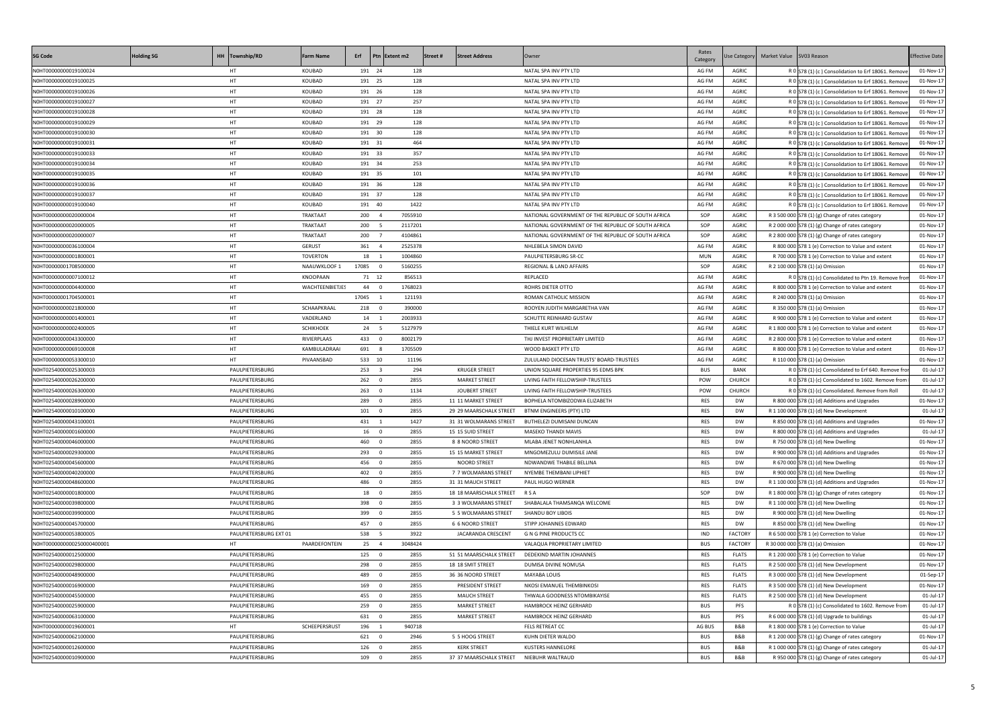| <b>SG Code</b>             | <b>Holding SG</b> | HH Township/RD         | <b>Farm Name</b> |         | Erf Ptn Extent m2 | Street # | <b>Street Address</b>                    | Owner                                               | Rates<br>Category | <b>Jse Category</b> | Market Value SV03 Reason |                                                      | <b>Effective Date</b> |
|----------------------------|-------------------|------------------------|------------------|---------|-------------------|----------|------------------------------------------|-----------------------------------------------------|-------------------|---------------------|--------------------------|------------------------------------------------------|-----------------------|
| N0HT00000000019100024      |                   | HT                     | KOUBAD           | 191 24  |                   | 128      |                                          | NATAL SPA INV PTY LTD                               | AG FM             | AGRIC               |                          | R 0 S78 (1) (c) Consolidation to Erf 18061. Remove   | 01-Nov-17             |
| N0HT00000000019100025      |                   | HT                     | KOUBAD           | 191 25  |                   | 128      |                                          | NATAL SPA INV PTY LTD                               | AG FM             | AGRIC               |                          | R 0 S78 (1) (c) Consolidation to Erf 18061. Remove   | 01-Nov-17             |
| N0HT00000000019100026      |                   | HT                     | KOUBAD           | 191 26  |                   | 128      |                                          | NATAL SPA INV PTY LTD                               | AG FM             | AGRIC               |                          | R 0 S78 (1) (c) Consolidation to Erf 18061. Remove   | 01-Nov-17             |
| N0HT00000000019100027      |                   | HT.                    | KOUBAD           | 191 27  |                   | 257      |                                          | NATAL SPA INV PTY LTD                               | AG FM             | AGRIC               |                          | R 0 S78 (1) (c) Consolidation to Erf 18061. Remove   | 01-Nov-17             |
| N0HT00000000019100028      |                   | HT.                    | KOUBAD           | 191 28  |                   | 128      |                                          | NATAL SPA INV PTY LTD                               | AG FM             | AGRIC               |                          | R 0 S78 (1) (c) Consolidation to Erf 18061. Remove   | 01-Nov-17             |
| N0HT00000000019100029      |                   | HT                     | KOUBAD           | 191 29  |                   | 128      |                                          | NATAL SPA INV PTY LTD                               | AG FM             | AGRIC               |                          | R 0 S78 (1) (c) Consolidation to Erf 18061. Remove   | 01-Nov-17             |
| N0HT00000000019100030      |                   | HT                     | KOUBAD           | 191 30  |                   | 128      |                                          | NATAL SPA INV PTY LTD                               | AG FM             | AGRIC               |                          | R 0 S78 (1) (c) Consolidation to Erf 18061. Remove   | 01-Nov-17             |
| N0HT00000000019100031      |                   | HT.                    | KOUBAD           | 191 31  |                   | 464      |                                          | NATAL SPA INV PTY LTD                               | AG FM             | AGRIC               |                          | R 0 S78 (1) (c) Consolidation to Erf 18061. Remove   | 01-Nov-17             |
| N0HT00000000019100033      |                   | HT.                    | KOUBAD           | 191 33  |                   | 357      |                                          | NATAL SPA INV PTY LTD                               | AG FM             | AGRIC               |                          | R 0 S78 (1) (c) Consolidation to Erf 18061. Remove   | 01-Nov-17             |
| N0HT00000000019100034      |                   | HT                     | KOUBAD           | 191 34  |                   | 253      |                                          | NATAL SPA INV PTY LTD                               | AG FM             | AGRIC               |                          | R 0 S78 (1) (c) Consolidation to Erf 18061. Remove   | 01-Nov-17             |
| N0HT00000000019100035      |                   | HT.                    | KOUBAD           | 191 35  |                   | 101      |                                          | NATAL SPA INV PTY LTD                               | AG FM             | AGRIC               |                          | R 0 S78 (1) (c) Consolidation to Erf 18061. Remove   | 01-Nov-17             |
| N0HT00000000019100036      |                   | HT                     | KOUBAD           | 191 36  |                   | 128      |                                          | NATAL SPA INV PTY LTD                               | AG FM             | AGRIC               |                          | R 0 S78 (1) (c) Consolidation to Erf 18061. Remove   | 01-Nov-17             |
| N0HT00000000019100037      |                   | HT                     | KOUBAD           | 191 37  |                   | 128      |                                          | NATAL SPA INV PTY LTD                               | AG FM             | AGRIC               |                          | R 0 S78 (1) (c) Consolidation to Erf 18061. Remove   | 01-Nov-17             |
| N0HT00000000019100040      |                   | HT.                    | KOUBAD           | 191 40  |                   | 1422     |                                          | NATAL SPA INV PTY LTD                               | AG FM             | AGRIC               |                          | R 0 S78 (1) (c) Consolidation to Erf 18061. Remove   | 01-Nov-17             |
| N0HT00000000020000004      |                   | HT.                    | TRAKTAAT         | 200 4   | 7055910           |          |                                          | NATIONAL GOVERNMENT OF THE REPUBLIC OF SOUTH AFRICA | SOP               | AGRIC               |                          | R 3 500 000 $ 578$ (1) (g) Change of rates category  | 01-Nov-17             |
| N0HT00000000020000005      |                   | HT                     | TRAKTAAT         | 200 5   | 2117201           |          |                                          | NATIONAL GOVERNMENT OF THE REPUBLIC OF SOUTH AFRICA | SOP               | <b>AGRIC</b>        |                          | R 2 000 000 S78 (1) (g) Change of rates category     | 01-Nov-17             |
| N0HT00000000020000007      |                   | HT.                    | TRAKTAAT         | 200 7   | 4104861           |          |                                          | NATIONAL GOVERNMENT OF THE REPUBLIC OF SOUTH AFRICA | SOP               | AGRIC               |                          | R 2 800 000 S78 (1) (g) Change of rates category     | 01-Nov-17             |
| N0HT00000000036100004      |                   | HT                     | <b>GERUST</b>    | 361 4   | 2525378           |          |                                          | NHLEBELA SIMON DAVID                                | AG FM             | AGRIC               |                          | R 800 000 S78 1 (e) Correction to Value and extent   | 01-Nov-17             |
| N0HT00000000001800001      |                   | HT                     | TOVERTON         | 18 1    | 1004860           |          |                                          | PAULPIETERSBURG SR-CC                               | MUN               | AGRIC               |                          | R 700 000 S78 1 (e) Correction to Value and extent   | 01-Nov-17             |
| N0HT00000001708500000      |                   | HT                     | NAAUWKLOOF 1     | 17085 0 | 5160255           |          |                                          | REGIONAL & LAND AFFAIRS                             | SOP               | AGRIC               |                          | R 2 100 000 S78 (1) (a) Omission                     | 01-Nov-17             |
| N0HT00000000007100012      |                   | HT                     | KNOOPAAN         | 71 12   |                   | 856513   |                                          | REPLACED                                            | AG FM             | AGRIC               |                          |                                                      | 01-Nov-17             |
| N0HT00000000004400000      |                   | HT                     | WACHTEENBIETJES  | 44 0    | 1768023           |          |                                          | ROHRS DIETER OTTO                                   | AG FM             | AGRIC               |                          | R 0 S78 (1) (c) Consolidated to Ptn 19. Remove from  |                       |
|                            |                   | HT                     |                  | 17045 1 |                   |          |                                          |                                                     |                   | <b>AGRIC</b>        |                          | R 800 000 S78 1 (e) Correction to Value and extent   | 01-Nov-17             |
| N0HT00000001704500001      |                   |                        |                  |         |                   | 121193   |                                          | ROMAN CATHOLIC MISSION                              | AG FM             |                     |                          | R 240 000 S78 (1) (a) Omission                       | 01-Nov-17             |
| N0HT00000000021800000      |                   | HT                     | SCHAAPKRAAL      | 218 0   |                   | 390000   |                                          | ROOYEN JUDITH MARGARETHA VAN                        | AG FM             | AGRIC               |                          | R 350 000 S78 (1) (a) Omission                       | 01-Nov-17             |
| N0HT00000000001400001      |                   | HT                     | VADERLAND        | 14 1    | 2003933           |          |                                          | SCHUTTE REINHARD GUSTAV                             | AG FM             | <b>AGRIC</b>        |                          | R 900 000 S78 1 (e) Correction to Value and extent   | 01-Nov-17             |
| N0HT00000000002400005      |                   | HT                     | SCHIKHOEK        | 24 5    | 5127979           |          |                                          | THIELE KURT WILHELM                                 | AG FM             | AGRIC               |                          | R 1 800 000 S78 1 (e) Correction to Value and extent | 01-Nov-17             |
| N0HT00000000043300000      |                   | HT                     | RIVIERPLAAS      | 433 0   | 8002179           |          |                                          | THJ INVEST PROPRIETARY LIMITED                      | AG FM             | AGRIC               |                          | R 2 800 000 S78 1 (e) Correction to Value and extent | 01-Nov-17             |
| N0HT00000000069100008      |                   | HT                     | KAMBULADRAAI     | 691 8   | 1705509           |          |                                          | WOOD BASKET PTY LTD                                 | AG FM             | AGRIC               |                          | R 800 000 S78 1 (e) Correction to Value and extent   | 01-Nov-17             |
| N0HT00000000053300010      |                   | HT                     | PIVAANSBAD       | 533 10  |                   | 11196    |                                          | ZULULAND DIOCESAN TRUSTS' BOARD-TRUSTEES            | AG FM             | AGRIC               |                          | R 110 000 S78 (1) (a) Omission                       | 01-Nov-17             |
| N0HT02540000025300003      |                   | PAULPIETERSBURG        |                  | 253 3   |                   | 294      | <b>KRUGER STREET</b>                     | UNION SQUARE PROPERTIES 95 EDMS BPK                 | <b>BUS</b>        | BANK                |                          | R 0 S78 (1) (c) Consolidated to Erf 640. Remove from | 01-Jul-17             |
| N0HT02540000026200000      |                   | PAULPIETERSBURG        |                  | 262 0   |                   | 2855     | <b>MARKET STREET</b>                     | LIVING FAITH FELLOWSHIP-TRUSTEES                    | POW               | CHURCH              |                          | R 0 S78 (1) (c) Consolidated to 1602. Remove from    | 01-Jul-17             |
| N0HT02540000026300000      |                   | PAULPIETERSBURG        |                  | 263 0   |                   | 1134     | JOUBERT STREET                           | LIVING FAITH FELLOWSHIP-TRUSTEES                    | POW               | <b>CHURCH</b>       |                          | R 0 S78 (1) (c) Consolidated. Remove from Roll       | 01-Jul-17             |
| N0HT02540000028900000      |                   | PAULPIETERSBURG        |                  | 289 0   |                   | 2855     | 11 11 MARKET STREET                      | BOPHELA NTOMBIZODWA ELIZABETH                       | <b>RES</b>        | DW                  |                          | R 800 000 S78 (1) (d) Additions and Upgrades         | 01-Nov-17             |
| N0HT02540000010100000      |                   | PAULPIETERSBURG        |                  | 101 0   |                   | 2855     | 29 29 MAARSCHALK STREET                  | BTNM ENGINEERS (PTY) LTD                            | <b>RES</b>        | DW                  |                          | R 1 100 000 S78 (1) (d) New Development              | 01-Jul-17             |
| N0HT02540000043100001      |                   | PAULPIETERSBURG        |                  | 431 1   |                   | 1427     | 31 31 WOLMARANS STREET                   | BUTHELEZI DUMISANI DUNCAN                           | <b>RES</b>        | DW                  |                          | R 850 000 S78 (1) (d) Additions and Upgrades         | 01-Nov-17             |
| N0HT02540000001600000      |                   | PAULPIETERSBURG        |                  | 16 0    |                   | 2855     | 15 15 SUID STREET                        | MASEKO THANDI MAVIS                                 | <b>RES</b>        | DW                  |                          | R 800 000 S78 (1) (d) Additions and Upgrades         | 01-Jul-17             |
| N0HT02540000046000000      |                   | PAULPIETERSBURG        |                  | 460 0   |                   | 2855     | 8 8 NOORD STREET                         | MLABA JENET NONHLANHLA                              | RES               | DW                  |                          | R 750 000 S78 (1) (d) New Dwelling                   | 01-Nov-17             |
| N0HT02540000029300000      |                   | PAULPIETERSBURG        |                  | 293 0   |                   | 2855     | 15 15 MARKET STREET                      | MNGOMEZULU DUMISILE JANE                            | RES               | DW                  |                          | R 900 000 S78 (1) (d) Additions and Upgrades         | 01-Nov-17             |
| N0HT02540000045600000      |                   | PAULPIETERSBURG        |                  | 456 0   |                   | 2855     | NOORD STREET                             | NDWANDWE THABILE BELLINA                            | <b>RES</b>        | DW                  |                          | R 670 000 S78 (1) (d) New Dwelling                   | 01-Nov-17             |
| N0HT02540000040200000      |                   | PAULPIETERSBURG        |                  | 402 0   |                   | 2855     | 7 7 WOLMARANS STREET                     | NYEMBE THEMBANI LIPHIET                             | RES               | DW                  |                          | R 900 000 S78 (1) (d) New Dwelling                   | 01-Nov-17             |
| N0HT02540000048600000      |                   | PAULPIETERSBURG        |                  | 486 0   |                   | 2855     | 31 31 MAUCH STREET                       | PAUL HUGO WERNER                                    | <b>RES</b>        | DW                  |                          | R 1 100 000 S78 (1) (d) Additions and Upgrades       | 01-Nov-17             |
| N0HT02540000001800000      |                   | PAULPIETERSBURG        |                  | 18 0    |                   | 2855     | 18 18 MAARSCHALK STREET R S A            |                                                     | SOP               | <b>DW</b>           |                          | R 1 800 000 S78 (1) (g) Change of rates category     | 01-Nov-17             |
| N0HT02540000039800000      |                   | PAULPIETERSBURG        |                  | 398 0   |                   | 2855     | 3 3 WOLMARANS STREET                     | SHABALALA THAMSANQA WELCOME                         | RES               | DW                  |                          | R 1 100 000 S78 (1) (d) New Dwelling                 | 01-Nov-17             |
| N0HT02540000039900000      |                   | PAULPIETERSBURG        |                  | 399 0   |                   | 2855     | 5 5 WOLMARANS STREET                     | <b>SHANDU BOY LIBOIS</b>                            | RES               | DW                  |                          | R 900 000 S78 (1) (d) New Dwelling                   | 01-Nov-17             |
| N0HT02540000045700000      |                   | PAULPIETERSBURG        |                  | 457 0   |                   | 2855     | 6 6 NOORD STREET                         | STIPP JOHANNES EDWARD                               | RES               | DW                  |                          | R 850 000 S78 (1) (d) New Dwelling                   | 01-Nov-17             |
| N0HT02540000053800005      |                   | PAULPIETERSBURG EXT 01 |                  | 538 5   |                   | 3922     | JACARANDA CRESCENT                       | <b>G N G PINE PRODUCTS CC</b>                       | IND               | <b>FACTORY</b>      |                          | R 6 500 000 S78 1 (e) Correction to Value            | 01-Nov-17             |
| N0HT0000000000250000400001 |                   | HT.                    | PAARDEFONTEIN    | 25 4    | 3048424           |          |                                          | VALAQUA PROPRIETARY LIMITED                         | <b>BUS</b>        | <b>FACTORY</b>      |                          | R 30 000 000 S78 (1) (a) Omission                    | 01-Nov-17             |
| N0HT02540000012500000      |                   | PAULPIETERSBURG        |                  | 125 0   |                   | 2855     | 51 51 MAARSCHALK STREET                  | DEDEKIND MARTIN JOHANNES                            | <b>RES</b>        | <b>FLATS</b>        |                          | R 1 200 000 S78 1 (e) Correction to Value            | 01-Nov-17             |
| N0HT02540000029800000      |                   | PAULPIETERSBURG        |                  | 298 0   |                   | 2855     | 18 18 SMIT STREET                        | DUMISA DIVINE NOMUSA                                | <b>RES</b>        | <b>FLATS</b>        |                          | R 2 500 000 S78 (1) (d) New Development              | 01-Nov-17             |
| N0HT02540000048900000      |                   | PAULPIETERSBURG        |                  | 489 0   |                   | 2855     | 36 36 NOORD STREET                       | MAYABA LOUIS                                        | <b>RES</b>        | <b>FLATS</b>        |                          | R 3 000 000 S78 (1) (d) New Development              | 01-Sep-17             |
| N0HT02540000016900000      |                   | PAULPIETERSBURG        |                  | 169 0   |                   | 2855     | PRESIDENT STREET                         | NKOSI EMANUEL THEMBINKOSI                           | <b>RES</b>        | <b>FLATS</b>        |                          | R 3 500 000 S78 (1) (d) New Development              | 01-Nov-17             |
| N0HT02540000045500000      |                   | PAULPIETERSBURG        |                  | 455 0   |                   | 2855     | <b>MAUCH STREET</b>                      | THWALA GOODNESS NTOMBIKAYISE                        | <b>RES</b>        | <b>FLATS</b>        |                          | R 2 500 000 S78 (1) (d) New Development              | 01-Jul-17             |
| N0HT02540000025900000      |                   | PAULPIETERSBURG        |                  | 259 0   |                   | 2855     | <b>MARKET STREET</b>                     | HAMBROCK HEINZ GERHARD                              | <b>BUS</b>        | PFS                 |                          | R 0 S78 (1) (c) Consolidated to 1602. Remove from    | 01-Jul-17             |
| N0HT02540000063100000      |                   | PAULPIETERSBURG        |                  | 631 0   |                   | 2855     | <b>MARKET STREET</b>                     | HAMBROCK HEINZ GERHARD                              | <b>BUS</b>        | <b>PFS</b>          |                          | R 6 000 000 S78 (1) (d) Upgrade to buildings         | 01-Jul-17             |
| N0HT00000000019600001      |                   | HT.                    | SCHEEPERSRUST    | 196 1   |                   | 940718   |                                          | FELS RETREAT CC                                     | AG BUS            | B&B                 |                          | R 1 800 000 S78 1 (e) Correction to Value            | 01-Jul-17             |
| N0HT02540000062100000      |                   | PAULPIETERSBURG        |                  | 621 0   |                   | 2946     | 5 5 HOOG STREET                          | KUHN DIETER WALDO                                   | <b>BUS</b>        | B&B                 |                          | R 1 200 000 $ 578(1)(g)$ Change of rates category    | 01-Nov-17             |
| N0HT02540000012600000      |                   | PAULPIETERSBURG        |                  | 126 0   |                   | 2855     | <b>KERK STREET</b>                       | <b>KUSTERS HANNELORE</b>                            | <b>BUS</b>        | B&B                 |                          | R 1 000 000 S78 (1) (g) Change of rates category     | 01-Jul-17             |
| N0HT02540000010900000      |                   | PAULPIETERSBURG        |                  | 109 0   |                   | 2855     | 37 37 MAARSCHALK STREET NIEBUHR WALTRAUD |                                                     | <b>BUS</b>        | B&B                 |                          | R 950 000 $ 578(1)(g)$ Change of rates category      | 01-Jul-17             |
|                            |                   |                        |                  |         |                   |          |                                          |                                                     |                   |                     |                          |                                                      |                       |